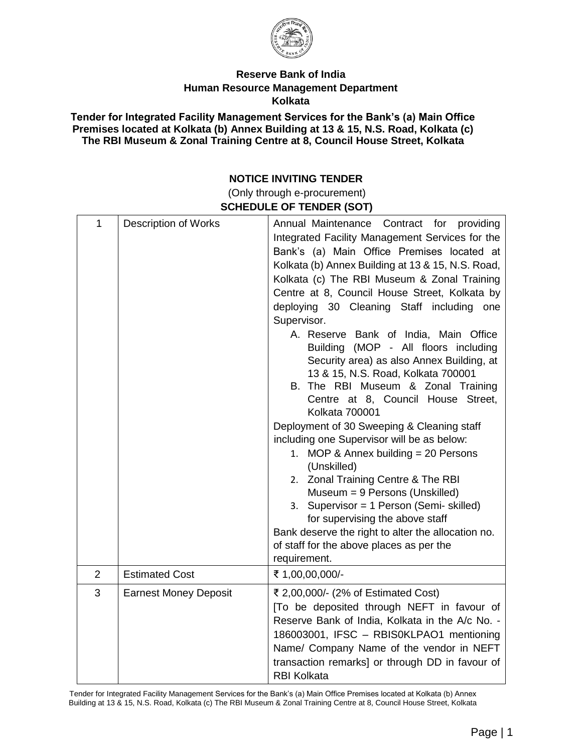

## **Reserve Bank of India Human Resource Management Department Kolkata**

**Tender for Integrated Facility Management Services for the Bank's (a) Main Office Premises located at Kolkata (b) Annex Building at 13 & 15, N.S. Road, Kolkata (c) The RBI Museum & Zonal Training Centre at 8, Council House Street, Kolkata**

## **NOTICE INVITING TENDER**

(Only through e-procurement) **SCHEDULE OF TENDER (SOT)** 

| $\mathbf{1}$   | <b>Description of Works</b>  | Annual Maintenance Contract for providing<br>Integrated Facility Management Services for the<br>Bank's (a) Main Office Premises located at<br>Kolkata (b) Annex Building at 13 & 15, N.S. Road,<br>Kolkata (c) The RBI Museum & Zonal Training<br>Centre at 8, Council House Street, Kolkata by<br>deploying 30 Cleaning Staff including one<br>Supervisor.<br>A. Reserve Bank of India, Main Office<br>Building (MOP - All floors including<br>Security area) as also Annex Building, at<br>13 & 15, N.S. Road, Kolkata 700001<br>B. The RBI Museum & Zonal Training<br>Centre at 8, Council House Street,<br>Kolkata 700001<br>Deployment of 30 Sweeping & Cleaning staff<br>including one Supervisor will be as below:<br>1. MOP & Annex building = 20 Persons<br>(Unskilled)<br>2. Zonal Training Centre & The RBI<br>Museum = 9 Persons (Unskilled)<br>3. Supervisor = 1 Person (Semi- skilled)<br>for supervising the above staff<br>Bank deserve the right to alter the allocation no.<br>of staff for the above places as per the<br>requirement. |  |
|----------------|------------------------------|-----------------------------------------------------------------------------------------------------------------------------------------------------------------------------------------------------------------------------------------------------------------------------------------------------------------------------------------------------------------------------------------------------------------------------------------------------------------------------------------------------------------------------------------------------------------------------------------------------------------------------------------------------------------------------------------------------------------------------------------------------------------------------------------------------------------------------------------------------------------------------------------------------------------------------------------------------------------------------------------------------------------------------------------------------------|--|
| $\overline{2}$ | <b>Estimated Cost</b>        | ₹ 1,00,00,000/-                                                                                                                                                                                                                                                                                                                                                                                                                                                                                                                                                                                                                                                                                                                                                                                                                                                                                                                                                                                                                                           |  |
| 3              | <b>Earnest Money Deposit</b> | ₹ 2,00,000/- (2% of Estimated Cost)<br>[To be deposited through NEFT in favour of<br>Reserve Bank of India, Kolkata in the A/c No. -<br>186003001, IFSC - RBIS0KLPAO1 mentioning<br>Name/ Company Name of the vendor in NEFT<br>transaction remarks] or through DD in favour of<br><b>RBI Kolkata</b>                                                                                                                                                                                                                                                                                                                                                                                                                                                                                                                                                                                                                                                                                                                                                     |  |

Tender for Integrated Facility Management Services for the Bank's (a) Main Office Premises located at Kolkata (b) Annex Building at 13 & 15, N.S. Road, Kolkata (c) The RBI Museum & Zonal Training Centre at 8, Council House Street, Kolkata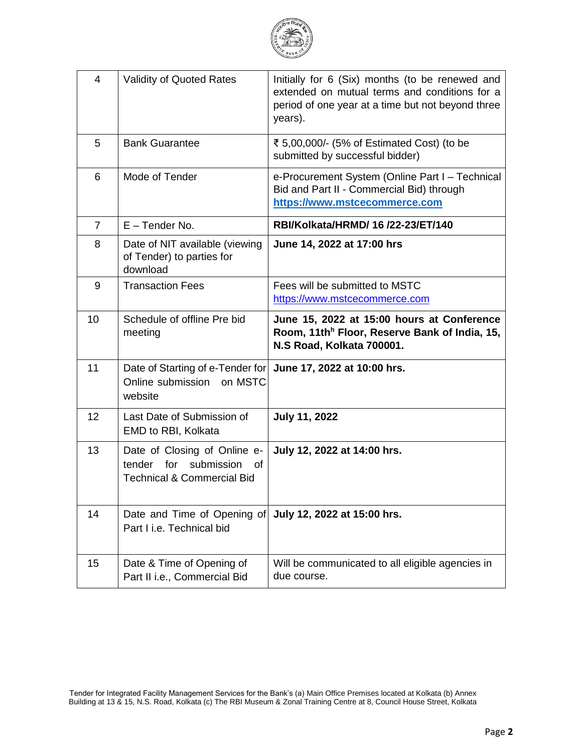

| $\overline{4}$  | <b>Validity of Quoted Rates</b>                                                                            | Initially for 6 (Six) months (to be renewed and<br>extended on mutual terms and conditions for a<br>period of one year at a time but not beyond three<br>years). |
|-----------------|------------------------------------------------------------------------------------------------------------|------------------------------------------------------------------------------------------------------------------------------------------------------------------|
| 5               | <b>Bank Guarantee</b>                                                                                      | ₹ 5,00,000/- (5% of Estimated Cost) (to be<br>submitted by successful bidder)                                                                                    |
| 6               | Mode of Tender                                                                                             | e-Procurement System (Online Part I - Technical<br>Bid and Part II - Commercial Bid) through<br>https://www.mstcecommerce.com                                    |
| 7               | $E$ – Tender No.                                                                                           | RBI/Kolkata/HRMD/ 16 /22-23/ET/140                                                                                                                               |
| 8               | Date of NIT available (viewing<br>of Tender) to parties for<br>download                                    | June 14, 2022 at 17:00 hrs                                                                                                                                       |
| 9               | <b>Transaction Fees</b>                                                                                    | Fees will be submitted to MSTC<br>https://www.mstcecommerce.com                                                                                                  |
| 10              | Schedule of offline Pre bid<br>meeting                                                                     | June 15, 2022 at 15:00 hours at Conference<br>Room, 11th <sup>h</sup> Floor, Reserve Bank of India, 15,<br>N.S Road, Kolkata 700001.                             |
| 11              | Date of Starting of e-Tender for<br>Online submission on MSTC<br>website                                   | June 17, 2022 at 10:00 hrs.                                                                                                                                      |
| 12 <sup>2</sup> | Last Date of Submission of<br>EMD to RBI, Kolkata                                                          | <b>July 11, 2022</b>                                                                                                                                             |
| 13              | Date of Closing of Online e-<br>for<br>submission<br>tender<br>Ωf<br><b>Technical &amp; Commercial Bid</b> | July 12, 2022 at 14:00 hrs.                                                                                                                                      |
| 14              | Date and Time of Opening of<br>Part I i.e. Technical bid                                                   | July 12, 2022 at 15:00 hrs.                                                                                                                                      |
| 15              | Date & Time of Opening of<br>Part II i.e., Commercial Bid                                                  | Will be communicated to all eligible agencies in<br>due course.                                                                                                  |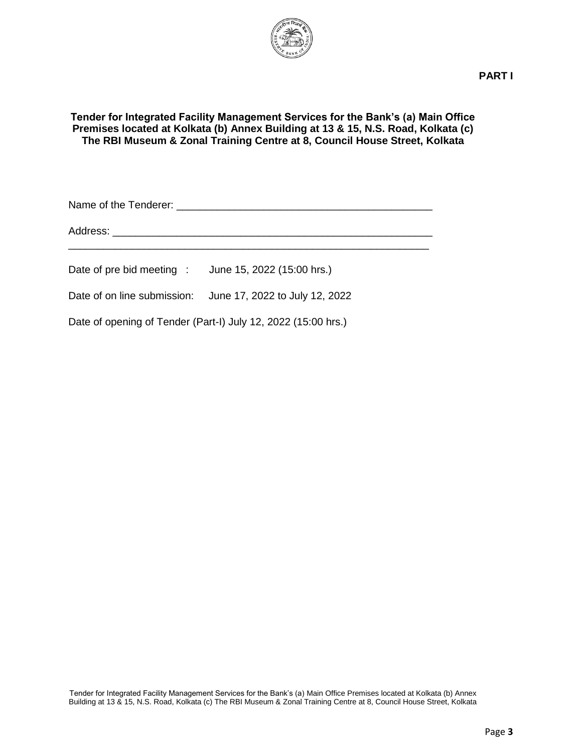

### **Tender for Integrated Facility Management Services for the Bank's (a) Main Office Premises located at Kolkata (b) Annex Building at 13 & 15, N.S. Road, Kolkata (c) The RBI Museum & Zonal Training Centre at 8, Council House Street, Kolkata**

Name of the Tenderer: \_\_\_\_\_\_\_\_\_\_\_\_\_\_\_\_\_\_\_\_\_\_\_\_\_\_\_\_\_\_\_\_\_\_\_\_\_\_\_\_\_\_\_\_

Address: \_\_\_\_\_\_\_\_\_\_\_\_\_\_\_\_\_\_\_\_\_\_\_\_\_\_\_\_\_\_\_\_\_\_\_\_\_\_\_\_\_\_\_\_\_\_\_\_\_\_\_\_\_\_\_

Date of pre bid meeting : June 15, 2022 (15:00 hrs.)

Date of on line submission: June 17, 2022 to July 12, 2022

Date of opening of Tender (Part-I) July 12, 2022 (15:00 hrs.)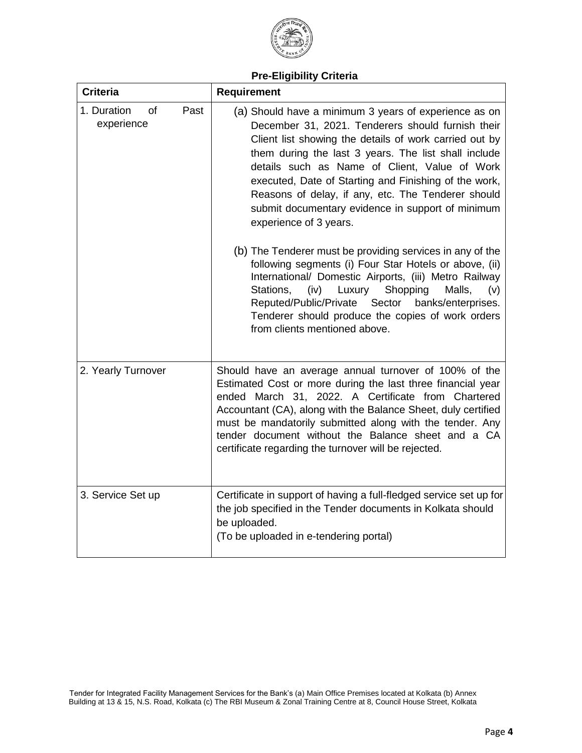

# **Pre-Eligibility Criteria**

| <b>Criteria</b>                         | <b>Requirement</b>                                                                                                                                                                                                                                                                                                                                                                                                                                                          |
|-----------------------------------------|-----------------------------------------------------------------------------------------------------------------------------------------------------------------------------------------------------------------------------------------------------------------------------------------------------------------------------------------------------------------------------------------------------------------------------------------------------------------------------|
| 1. Duration<br>of<br>Past<br>experience | (a) Should have a minimum 3 years of experience as on<br>December 31, 2021. Tenderers should furnish their<br>Client list showing the details of work carried out by<br>them during the last 3 years. The list shall include<br>details such as Name of Client, Value of Work<br>executed, Date of Starting and Finishing of the work,<br>Reasons of delay, if any, etc. The Tenderer should<br>submit documentary evidence in support of minimum<br>experience of 3 years. |
|                                         | (b) The Tenderer must be providing services in any of the<br>following segments (i) Four Star Hotels or above, (ii)<br>International/ Domestic Airports, (iii) Metro Railway<br>Luxury Shopping<br>Stations,<br>(iv)<br>Malls,<br>(v)<br>Reputed/Public/Private Sector<br>banks/enterprises.<br>Tenderer should produce the copies of work orders<br>from clients mentioned above.                                                                                          |
| 2. Yearly Turnover                      | Should have an average annual turnover of 100% of the<br>Estimated Cost or more during the last three financial year<br>ended March 31, 2022. A Certificate from Chartered<br>Accountant (CA), along with the Balance Sheet, duly certified<br>must be mandatorily submitted along with the tender. Any<br>tender document without the Balance sheet and a CA<br>certificate regarding the turnover will be rejected.                                                       |
| 3. Service Set up                       | Certificate in support of having a full-fledged service set up for<br>the job specified in the Tender documents in Kolkata should<br>be uploaded.<br>(To be uploaded in e-tendering portal)                                                                                                                                                                                                                                                                                 |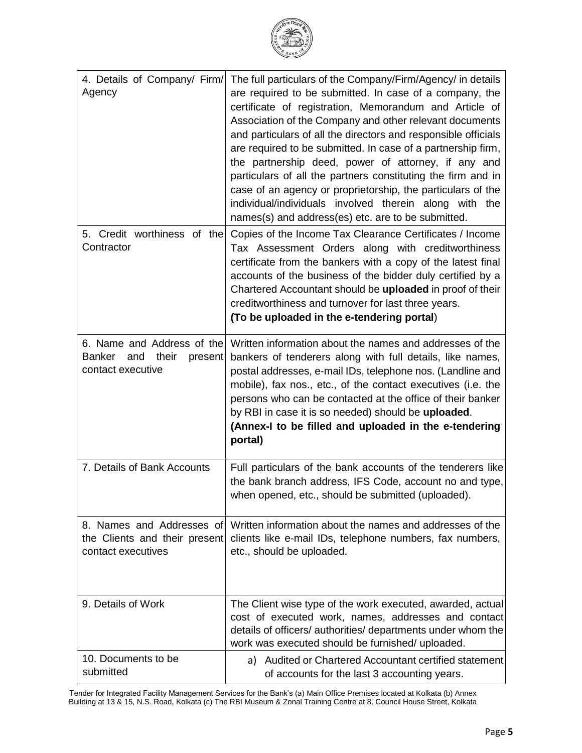| ्य रिज<br>۰<br>₿AN |
|--------------------|
|                    |
|                    |

| 4. Details of Company/ Firm/<br>Agency                                                      | The full particulars of the Company/Firm/Agency/ in details<br>are required to be submitted. In case of a company, the<br>certificate of registration, Memorandum and Article of<br>Association of the Company and other relevant documents<br>and particulars of all the directors and responsible officials<br>are required to be submitted. In case of a partnership firm,<br>the partnership deed, power of attorney, if any and<br>particulars of all the partners constituting the firm and in<br>case of an agency or proprietorship, the particulars of the<br>individual/individuals involved therein along with the<br>names(s) and address(es) etc. are to be submitted. |
|---------------------------------------------------------------------------------------------|-------------------------------------------------------------------------------------------------------------------------------------------------------------------------------------------------------------------------------------------------------------------------------------------------------------------------------------------------------------------------------------------------------------------------------------------------------------------------------------------------------------------------------------------------------------------------------------------------------------------------------------------------------------------------------------|
| 5. Credit worthiness of the<br>Contractor                                                   | Copies of the Income Tax Clearance Certificates / Income<br>Tax Assessment Orders along with creditworthiness<br>certificate from the bankers with a copy of the latest final<br>accounts of the business of the bidder duly certified by a<br>Chartered Accountant should be uploaded in proof of their<br>creditworthiness and turnover for last three years.<br>(To be uploaded in the e-tendering portal)                                                                                                                                                                                                                                                                       |
| 6. Name and Address of the<br>their<br><b>Banker</b><br>and<br>present<br>contact executive | Written information about the names and addresses of the<br>bankers of tenderers along with full details, like names,<br>postal addresses, e-mail IDs, telephone nos. (Landline and<br>mobile), fax nos., etc., of the contact executives (i.e. the<br>persons who can be contacted at the office of their banker<br>by RBI in case it is so needed) should be uploaded.<br>(Annex-I to be filled and uploaded in the e-tendering<br>portal)                                                                                                                                                                                                                                        |
| 7. Details of Bank Accounts                                                                 | Full particulars of the bank accounts of the tenderers like<br>the bank branch address, IFS Code, account no and type,<br>when opened, etc., should be submitted (uploaded).                                                                                                                                                                                                                                                                                                                                                                                                                                                                                                        |
| 8. Names and Addresses of<br>the Clients and their present<br>contact executives            | Written information about the names and addresses of the<br>clients like e-mail IDs, telephone numbers, fax numbers,<br>etc., should be uploaded.                                                                                                                                                                                                                                                                                                                                                                                                                                                                                                                                   |
| 9. Details of Work                                                                          | The Client wise type of the work executed, awarded, actual<br>cost of executed work, names, addresses and contact<br>details of officers/ authorities/ departments under whom the<br>work was executed should be furnished/ uploaded.                                                                                                                                                                                                                                                                                                                                                                                                                                               |
| 10. Documents to be<br>submitted                                                            | a) Audited or Chartered Accountant certified statement<br>of accounts for the last 3 accounting years.                                                                                                                                                                                                                                                                                                                                                                                                                                                                                                                                                                              |

Tender for Integrated Facility Management Services for the Bank's (a) Main Office Premises located at Kolkata (b) Annex Building at 13 & 15, N.S. Road, Kolkata (c) The RBI Museum & Zonal Training Centre at 8, Council House Street, Kolkata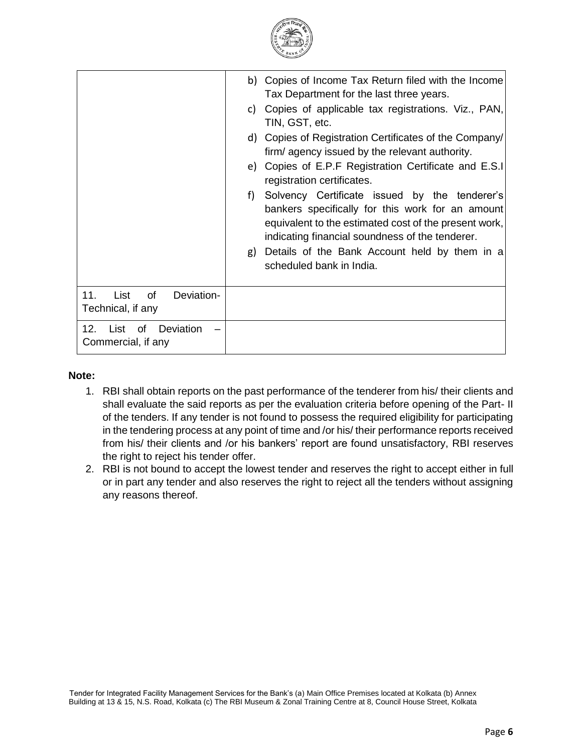

|                                                     | b) Copies of Income Tax Return filed with the Income<br>Tax Department for the last three years.<br>Copies of applicable tax registrations. Viz., PAN,<br>C)<br>TIN, GST, etc.<br>d) Copies of Registration Certificates of the Company/<br>firm/agency issued by the relevant authority.<br>e) Copies of E.P.F Registration Certificate and E.S.I<br>registration certificates.<br>Solvency Certificate issued by the tenderer's<br>f)<br>bankers specifically for this work for an amount<br>equivalent to the estimated cost of the present work,<br>indicating financial soundness of the tenderer.<br>Details of the Bank Account held by them in a<br>g)<br>scheduled bank in India. |
|-----------------------------------------------------|--------------------------------------------------------------------------------------------------------------------------------------------------------------------------------------------------------------------------------------------------------------------------------------------------------------------------------------------------------------------------------------------------------------------------------------------------------------------------------------------------------------------------------------------------------------------------------------------------------------------------------------------------------------------------------------------|
| 11.<br>List<br>of<br>Deviation-                     |                                                                                                                                                                                                                                                                                                                                                                                                                                                                                                                                                                                                                                                                                            |
| Technical, if any<br>12.<br>Deviation<br>List<br>of |                                                                                                                                                                                                                                                                                                                                                                                                                                                                                                                                                                                                                                                                                            |
| Commercial, if any                                  |                                                                                                                                                                                                                                                                                                                                                                                                                                                                                                                                                                                                                                                                                            |

#### **Note:**

- 1. RBI shall obtain reports on the past performance of the tenderer from his/ their clients and shall evaluate the said reports as per the evaluation criteria before opening of the Part- II of the tenders. If any tender is not found to possess the required eligibility for participating in the tendering process at any point of time and /or his/ their performance reports received from his/ their clients and /or his bankers' report are found unsatisfactory, RBI reserves the right to reject his tender offer.
- 2. RBI is not bound to accept the lowest tender and reserves the right to accept either in full or in part any tender and also reserves the right to reject all the tenders without assigning any reasons thereof.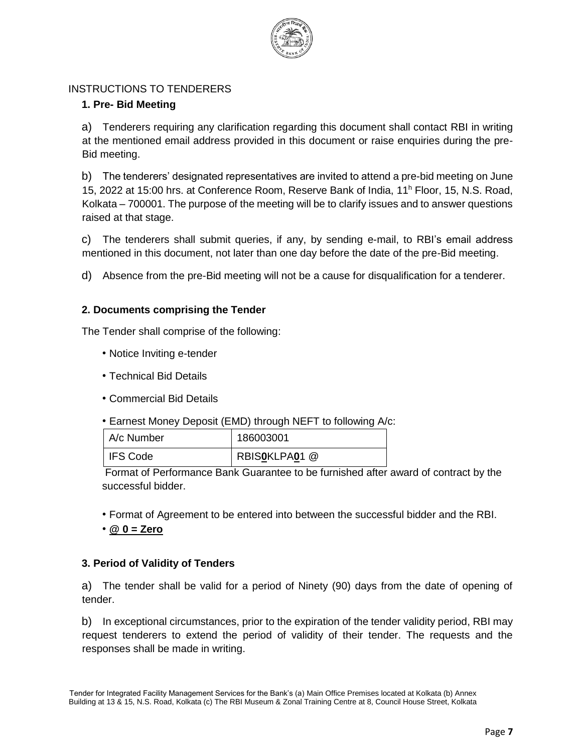

## INSTRUCTIONS TO TENDERERS

## **1. Pre- Bid Meeting**

a) Tenderers requiring any clarification regarding this document shall contact RBI in writing at the mentioned email address provided in this document or raise enquiries during the pre-Bid meeting.

b) The tenderers' designated representatives are invited to attend a pre-bid meeting on June 15, 2022 at 15:00 hrs. at Conference Room, Reserve Bank of India, 11<sup>h</sup> Floor, 15, N.S. Road, Kolkata – 700001. The purpose of the meeting will be to clarify issues and to answer questions raised at that stage.

c) The tenderers shall submit queries, if any, by sending e-mail, to RBI's email address mentioned in this document, not later than one day before the date of the pre-Bid meeting.

d) Absence from the pre-Bid meeting will not be a cause for disqualification for a tenderer.

### **2. Documents comprising the Tender**

The Tender shall comprise of the following:

- Notice Inviting e-tender
- Technical Bid Details
- Commercial Bid Details
- Earnest Money Deposit (EMD) through NEFT to following A/c:

| A/c Number      | 186003001     |
|-----------------|---------------|
| <b>IFS Code</b> | RBISOKLPA01 @ |

Format of Performance Bank Guarantee to be furnished after award of contract by the successful bidder.

• Format of Agreement to be entered into between the successful bidder and the RBI.

• **@ 0 = Zero**

### **3. Period of Validity of Tenders**

a) The tender shall be valid for a period of Ninety (90) days from the date of opening of tender.

b) In exceptional circumstances, prior to the expiration of the tender validity period, RBI may request tenderers to extend the period of validity of their tender. The requests and the responses shall be made in writing.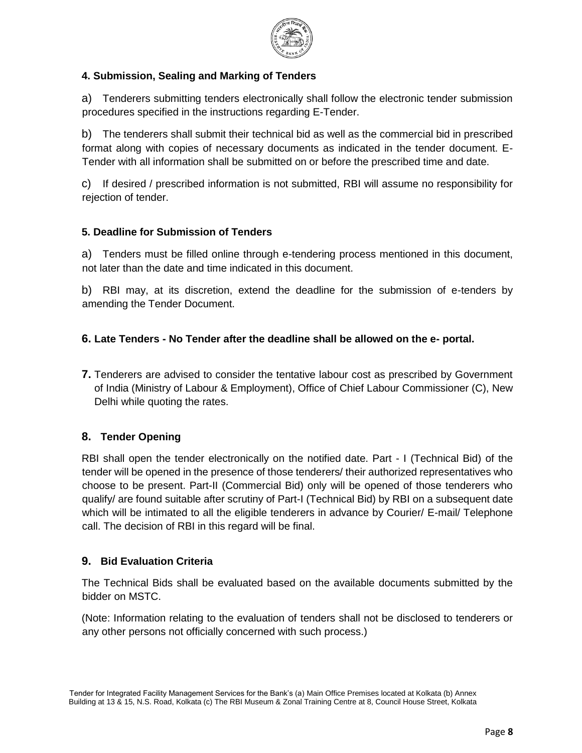

## **4. Submission, Sealing and Marking of Tenders**

a) Tenderers submitting tenders electronically shall follow the electronic tender submission procedures specified in the instructions regarding E-Tender.

b) The tenderers shall submit their technical bid as well as the commercial bid in prescribed format along with copies of necessary documents as indicated in the tender document. E-Tender with all information shall be submitted on or before the prescribed time and date.

c) If desired / prescribed information is not submitted, RBI will assume no responsibility for rejection of tender.

## **5. Deadline for Submission of Tenders**

a) Tenders must be filled online through e-tendering process mentioned in this document, not later than the date and time indicated in this document.

b) RBI may, at its discretion, extend the deadline for the submission of e-tenders by amending the Tender Document.

# **6. Late Tenders - No Tender after the deadline shall be allowed on the e- portal.**

**7.** Tenderers are advised to consider the tentative labour cost as prescribed by Government of India (Ministry of Labour & Employment), Office of Chief Labour Commissioner (C), New Delhi while quoting the rates.

## **8. Tender Opening**

RBI shall open the tender electronically on the notified date. Part - I (Technical Bid) of the tender will be opened in the presence of those tenderers/ their authorized representatives who choose to be present. Part-II (Commercial Bid) only will be opened of those tenderers who qualify/ are found suitable after scrutiny of Part-I (Technical Bid) by RBI on a subsequent date which will be intimated to all the eligible tenderers in advance by Courier/ E-mail/ Telephone call. The decision of RBI in this regard will be final.

## **9. Bid Evaluation Criteria**

The Technical Bids shall be evaluated based on the available documents submitted by the bidder on MSTC.

(Note: Information relating to the evaluation of tenders shall not be disclosed to tenderers or any other persons not officially concerned with such process.)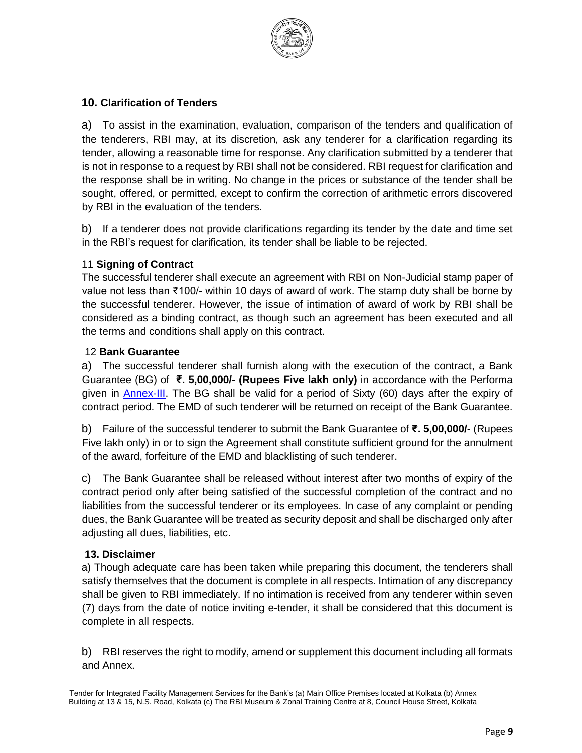

## **10. Clarification of Tenders**

a) To assist in the examination, evaluation, comparison of the tenders and qualification of the tenderers, RBI may, at its discretion, ask any tenderer for a clarification regarding its tender, allowing a reasonable time for response. Any clarification submitted by a tenderer that is not in response to a request by RBI shall not be considered. RBI request for clarification and the response shall be in writing. No change in the prices or substance of the tender shall be sought, offered, or permitted, except to confirm the correction of arithmetic errors discovered by RBI in the evaluation of the tenders.

b) If a tenderer does not provide clarifications regarding its tender by the date and time set in the RBI's request for clarification, its tender shall be liable to be rejected.

### 11 **Signing of Contract**

The successful tenderer shall execute an agreement with RBI on Non-Judicial stamp paper of value not less than ₹100/- within 10 days of award of work. The stamp duty shall be borne by the successful tenderer. However, the issue of intimation of award of work by RBI shall be considered as a binding contract, as though such an agreement has been executed and all the terms and conditions shall apply on this contract.

### 12 **Bank Guarantee**

a) The successful tenderer shall furnish along with the execution of the contract, a Bank Guarantee (BG) of **₹. 5,00,000/- (Rupees Five lakh only)** in accordance with the Performa given in Annex-III. The BG shall be valid for a period of Sixty (60) days after the expiry of contract period. The EMD of such tenderer will be returned on receipt of the Bank Guarantee.

b) Failure of the successful tenderer to submit the Bank Guarantee of **₹. 5,00,000/-** (Rupees Five lakh only) in or to sign the Agreement shall constitute sufficient ground for the annulment of the award, forfeiture of the EMD and blacklisting of such tenderer.

c) The Bank Guarantee shall be released without interest after two months of expiry of the contract period only after being satisfied of the successful completion of the contract and no liabilities from the successful tenderer or its employees. In case of any complaint or pending dues, the Bank Guarantee will be treated as security deposit and shall be discharged only after adjusting all dues, liabilities, etc.

### **13. Disclaimer**

a) Though adequate care has been taken while preparing this document, the tenderers shall satisfy themselves that the document is complete in all respects. Intimation of any discrepancy shall be given to RBI immediately. If no intimation is received from any tenderer within seven (7) days from the date of notice inviting e-tender, it shall be considered that this document is complete in all respects.

b) RBI reserves the right to modify, amend or supplement this document including all formats and Annex.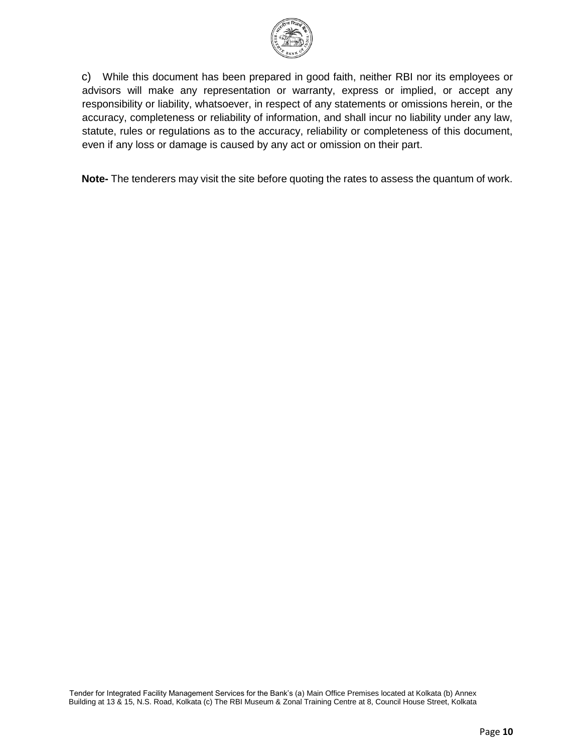

c) While this document has been prepared in good faith, neither RBI nor its employees or advisors will make any representation or warranty, express or implied, or accept any responsibility or liability, whatsoever, in respect of any statements or omissions herein, or the accuracy, completeness or reliability of information, and shall incur no liability under any law, statute, rules or regulations as to the accuracy, reliability or completeness of this document, even if any loss or damage is caused by any act or omission on their part.

**Note-** The tenderers may visit the site before quoting the rates to assess the quantum of work.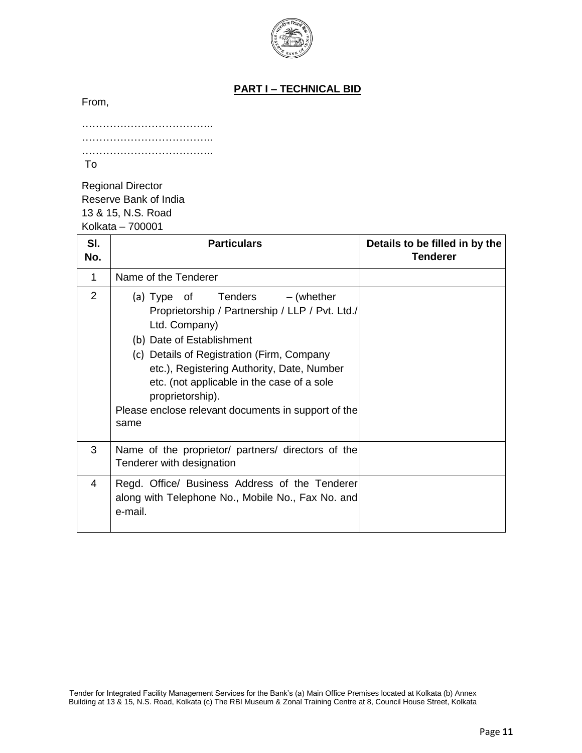

## **PART I – TECHNICAL BID**

From,

| To |  |
|----|--|

Regional Director Reserve Bank of India 13 & 15, N.S. Road Kolkata – 700001

| SI.<br>No.     | <b>Particulars</b>                                                                                                                                                                                                                                                                                                                                             | Details to be filled in by the<br><b>Tenderer</b> |
|----------------|----------------------------------------------------------------------------------------------------------------------------------------------------------------------------------------------------------------------------------------------------------------------------------------------------------------------------------------------------------------|---------------------------------------------------|
| 1              | Name of the Tenderer                                                                                                                                                                                                                                                                                                                                           |                                                   |
| $\overline{2}$ | (a) Type of Tenders $-$ (whether<br>Proprietorship / Partnership / LLP / Pvt. Ltd./<br>Ltd. Company)<br>(b) Date of Establishment<br>(c) Details of Registration (Firm, Company<br>etc.), Registering Authority, Date, Number<br>etc. (not applicable in the case of a sole<br>proprietorship).<br>Please enclose relevant documents in support of the<br>same |                                                   |
| 3              | Name of the proprietor/ partners/ directors of the<br>Tenderer with designation                                                                                                                                                                                                                                                                                |                                                   |
| 4              | Regd. Office/ Business Address of the Tenderer<br>along with Telephone No., Mobile No., Fax No. and<br>e-mail.                                                                                                                                                                                                                                                 |                                                   |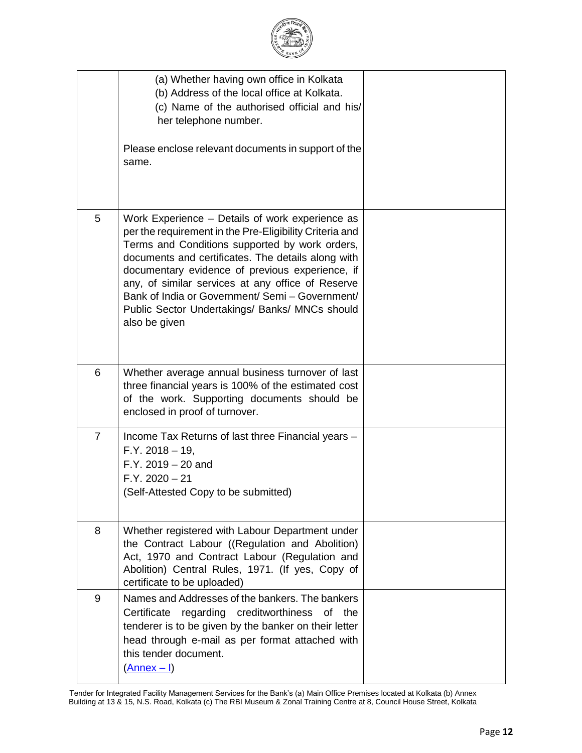|                | (a) Whether having own office in Kolkata<br>(b) Address of the local office at Kolkata.<br>(c) Name of the authorised official and his/<br>her telephone number.<br>Please enclose relevant documents in support of the<br>same.                                                                                                                                                                                                                 |  |
|----------------|--------------------------------------------------------------------------------------------------------------------------------------------------------------------------------------------------------------------------------------------------------------------------------------------------------------------------------------------------------------------------------------------------------------------------------------------------|--|
| 5              | Work Experience - Details of work experience as<br>per the requirement in the Pre-Eligibility Criteria and<br>Terms and Conditions supported by work orders,<br>documents and certificates. The details along with<br>documentary evidence of previous experience, if<br>any, of similar services at any office of Reserve<br>Bank of India or Government/ Semi - Government/<br>Public Sector Undertakings/ Banks/ MNCs should<br>also be given |  |
| 6              | Whether average annual business turnover of last<br>three financial years is 100% of the estimated cost<br>of the work. Supporting documents should be<br>enclosed in proof of turnover.                                                                                                                                                                                                                                                         |  |
| $\overline{7}$ | Income Tax Returns of last three Financial years -<br>$F.Y. 2018 - 19,$<br>$F.Y. 2019 - 20$ and<br>$F.Y. 2020 - 21$<br>(Self-Attested Copy to be submitted)                                                                                                                                                                                                                                                                                      |  |
| 8              | Whether registered with Labour Department under<br>the Contract Labour ((Regulation and Abolition)<br>Act, 1970 and Contract Labour (Regulation and<br>Abolition) Central Rules, 1971. (If yes, Copy of<br>certificate to be uploaded)                                                                                                                                                                                                           |  |
| 9              | Names and Addresses of the bankers. The bankers<br>creditworthiness<br>Certificate<br>regarding<br>of<br>the<br>tenderer is to be given by the banker on their letter<br>head through e-mail as per format attached with<br>this tender document.<br>$(\text{Annex} - I)$                                                                                                                                                                        |  |

Tender for Integrated Facility Management Services for the Bank's (a) Main Office Premises located at Kolkata (b) Annex Building at 13 & 15, N.S. Road, Kolkata (c) The RBI Museum & Zonal Training Centre at 8, Council House Street, Kolkata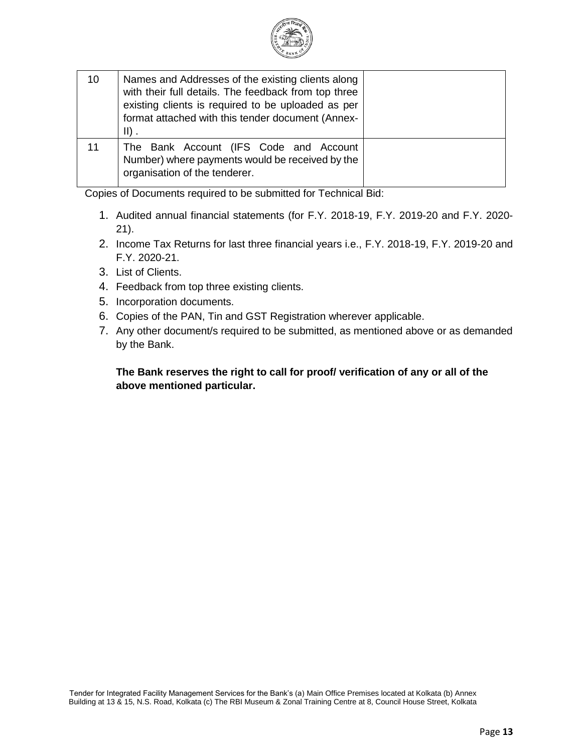

| 10 | Names and Addresses of the existing clients along<br>with their full details. The feedback from top three<br>existing clients is required to be uploaded as per<br>format attached with this tender document (Annex-<br>$\parallel$ ). |  |
|----|----------------------------------------------------------------------------------------------------------------------------------------------------------------------------------------------------------------------------------------|--|
| 11 | The Bank Account (IFS Code and Account<br>Number) where payments would be received by the<br>organisation of the tenderer.                                                                                                             |  |

Copies of Documents required to be submitted for Technical Bid:

- 1. Audited annual financial statements (for F.Y. 2018-19, F.Y. 2019-20 and F.Y. 2020- 21).
- 2. Income Tax Returns for last three financial years i.e., F.Y. 2018-19, F.Y. 2019-20 and F.Y. 2020-21.
- 3. List of Clients.
- 4. Feedback from top three existing clients.
- 5. Incorporation documents.
- 6. Copies of the PAN, Tin and GST Registration wherever applicable.
- 7. Any other document/s required to be submitted, as mentioned above or as demanded by the Bank.

## **The Bank reserves the right to call for proof/ verification of any or all of the above mentioned particular.**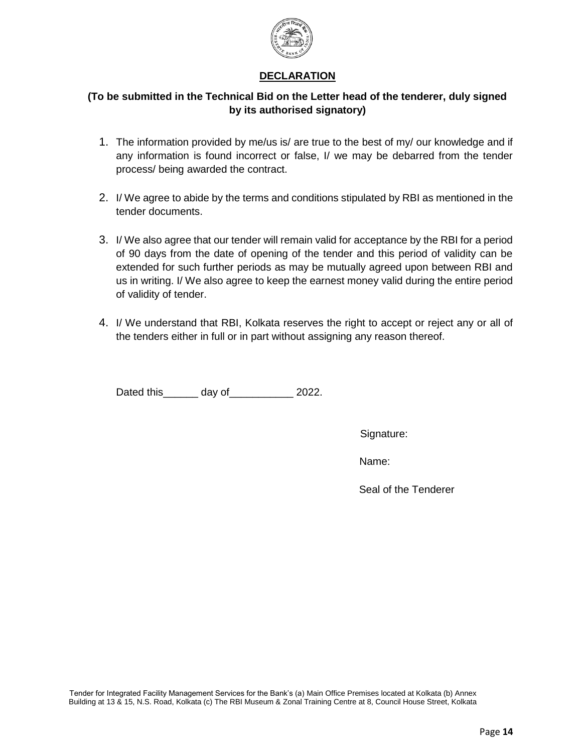

### **DECLARATION**

## **(To be submitted in the Technical Bid on the Letter head of the tenderer, duly signed by its authorised signatory)**

- 1. The information provided by me/us is/ are true to the best of my/ our knowledge and if any information is found incorrect or false, I/ we may be debarred from the tender process/ being awarded the contract.
- 2. I/ We agree to abide by the terms and conditions stipulated by RBI as mentioned in the tender documents.
- 3. I/ We also agree that our tender will remain valid for acceptance by the RBI for a period of 90 days from the date of opening of the tender and this period of validity can be extended for such further periods as may be mutually agreed upon between RBI and us in writing. I/ We also agree to keep the earnest money valid during the entire period of validity of tender.
- 4. I/ We understand that RBI, Kolkata reserves the right to accept or reject any or all of the tenders either in full or in part without assigning any reason thereof.

Dated this\_\_\_\_\_\_\_ day of\_\_\_\_\_\_\_\_\_\_\_ 2022.

Signature:

Name:

Seal of the Tenderer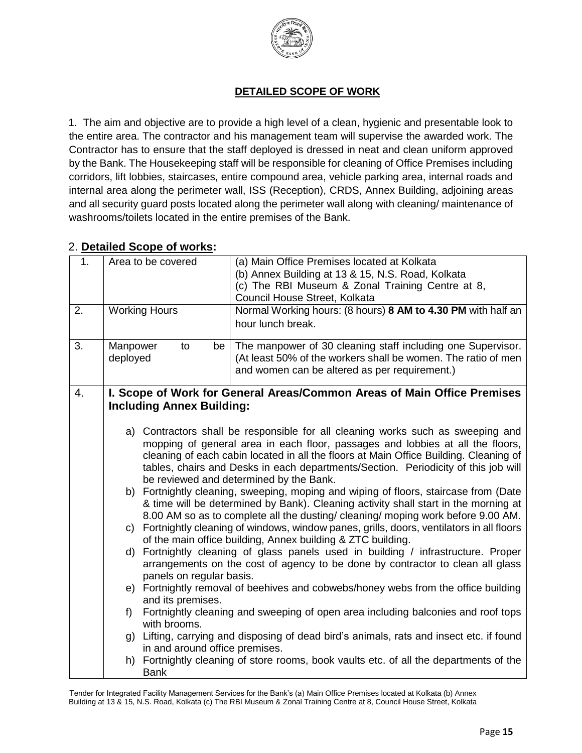

# **DETAILED SCOPE OF WORK**

1. The aim and objective are to provide a high level of a clean, hygienic and presentable look to the entire area. The contractor and his management team will supervise the awarded work. The Contractor has to ensure that the staff deployed is dressed in neat and clean uniform approved by the Bank. The Housekeeping staff will be responsible for cleaning of Office Premises including corridors, lift lobbies, staircases, entire compound area, vehicle parking area, internal roads and internal area along the perimeter wall, ISS (Reception), CRDS, Annex Building, adjoining areas and all security guard posts located along the perimeter wall along with cleaning/ maintenance of washrooms/toilets located in the entire premises of the Bank.

# 2. **Detailed Scope of works:**

| 1 <sub>1</sub> | Area to be covered                                                        | (a) Main Office Premises located at Kolkata<br>(b) Annex Building at 13 & 15, N.S. Road, Kolkata<br>(c) The RBI Museum & Zonal Training Centre at 8,                                                                                                                                                                                                                                                                                                                                                                                                                                                                                                                                                                                                                                                                                                                                                                                                                                                                                                                                                                                                                                                                                                                                                    |  |
|----------------|---------------------------------------------------------------------------|---------------------------------------------------------------------------------------------------------------------------------------------------------------------------------------------------------------------------------------------------------------------------------------------------------------------------------------------------------------------------------------------------------------------------------------------------------------------------------------------------------------------------------------------------------------------------------------------------------------------------------------------------------------------------------------------------------------------------------------------------------------------------------------------------------------------------------------------------------------------------------------------------------------------------------------------------------------------------------------------------------------------------------------------------------------------------------------------------------------------------------------------------------------------------------------------------------------------------------------------------------------------------------------------------------|--|
|                |                                                                           | Council House Street, Kolkata                                                                                                                                                                                                                                                                                                                                                                                                                                                                                                                                                                                                                                                                                                                                                                                                                                                                                                                                                                                                                                                                                                                                                                                                                                                                           |  |
| 2.             | <b>Working Hours</b>                                                      | Normal Working hours: (8 hours) 8 AM to 4.30 PM with half an                                                                                                                                                                                                                                                                                                                                                                                                                                                                                                                                                                                                                                                                                                                                                                                                                                                                                                                                                                                                                                                                                                                                                                                                                                            |  |
|                |                                                                           | hour lunch break.                                                                                                                                                                                                                                                                                                                                                                                                                                                                                                                                                                                                                                                                                                                                                                                                                                                                                                                                                                                                                                                                                                                                                                                                                                                                                       |  |
| 3.             | Manpower<br>to<br>be                                                      | The manpower of 30 cleaning staff including one Supervisor.                                                                                                                                                                                                                                                                                                                                                                                                                                                                                                                                                                                                                                                                                                                                                                                                                                                                                                                                                                                                                                                                                                                                                                                                                                             |  |
|                | deployed                                                                  | (At least 50% of the workers shall be women. The ratio of men                                                                                                                                                                                                                                                                                                                                                                                                                                                                                                                                                                                                                                                                                                                                                                                                                                                                                                                                                                                                                                                                                                                                                                                                                                           |  |
|                |                                                                           | and women can be altered as per requirement.)                                                                                                                                                                                                                                                                                                                                                                                                                                                                                                                                                                                                                                                                                                                                                                                                                                                                                                                                                                                                                                                                                                                                                                                                                                                           |  |
| 4.             |                                                                           | I. Scope of Work for General Areas/Common Areas of Main Office Premises                                                                                                                                                                                                                                                                                                                                                                                                                                                                                                                                                                                                                                                                                                                                                                                                                                                                                                                                                                                                                                                                                                                                                                                                                                 |  |
|                | <b>Including Annex Building:</b>                                          |                                                                                                                                                                                                                                                                                                                                                                                                                                                                                                                                                                                                                                                                                                                                                                                                                                                                                                                                                                                                                                                                                                                                                                                                                                                                                                         |  |
|                | d)<br>panels on regular basis.<br>and its premises.<br>f)<br>with brooms. | a) Contractors shall be responsible for all cleaning works such as sweeping and<br>mopping of general area in each floor, passages and lobbies at all the floors,<br>cleaning of each cabin located in all the floors at Main Office Building. Cleaning of<br>tables, chairs and Desks in each departments/Section. Periodicity of this job will<br>be reviewed and determined by the Bank.<br>b) Fortnightly cleaning, sweeping, moping and wiping of floors, staircase from (Date<br>& time will be determined by Bank). Cleaning activity shall start in the morning at<br>8.00 AM so as to complete all the dusting/ cleaning/ moping work before 9.00 AM.<br>c) Fortnightly cleaning of windows, window panes, grills, doors, ventilators in all floors<br>of the main office building, Annex building & ZTC building.<br>Fortnightly cleaning of glass panels used in building / infrastructure. Proper<br>arrangements on the cost of agency to be done by contractor to clean all glass<br>e) Fortnightly removal of beehives and cobwebs/honey webs from the office building<br>Fortnightly cleaning and sweeping of open area including balconies and roof tops<br>g) Lifting, carrying and disposing of dead bird's animals, rats and insect etc. if found<br>in and around office premises. |  |
|                | h)<br><b>Bank</b>                                                         | Fortnightly cleaning of store rooms, book vaults etc. of all the departments of the                                                                                                                                                                                                                                                                                                                                                                                                                                                                                                                                                                                                                                                                                                                                                                                                                                                                                                                                                                                                                                                                                                                                                                                                                     |  |

Tender for Integrated Facility Management Services for the Bank's (a) Main Office Premises located at Kolkata (b) Annex Building at 13 & 15, N.S. Road, Kolkata (c) The RBI Museum & Zonal Training Centre at 8, Council House Street, Kolkata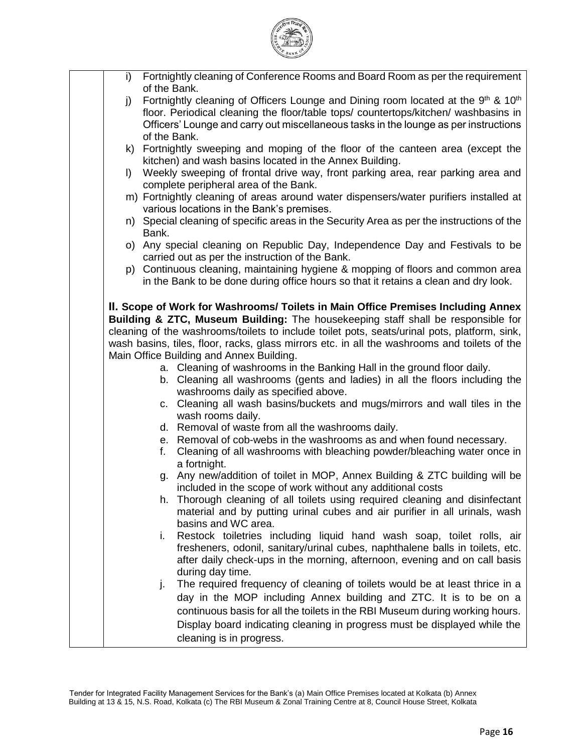| i)           | Fortnightly cleaning of Conference Rooms and Board Room as per the requirement                                                                                                                                                                                                                                                                                                                                                                                                                                                                                                                                                                                                                                                                                                                                                                                                                                                      |
|--------------|-------------------------------------------------------------------------------------------------------------------------------------------------------------------------------------------------------------------------------------------------------------------------------------------------------------------------------------------------------------------------------------------------------------------------------------------------------------------------------------------------------------------------------------------------------------------------------------------------------------------------------------------------------------------------------------------------------------------------------------------------------------------------------------------------------------------------------------------------------------------------------------------------------------------------------------|
|              | of the Bank.                                                                                                                                                                                                                                                                                                                                                                                                                                                                                                                                                                                                                                                                                                                                                                                                                                                                                                                        |
| j)           | Fortnightly cleaning of Officers Lounge and Dining room located at the 9 <sup>th</sup> & 10 <sup>th</sup><br>floor. Periodical cleaning the floor/table tops/ countertops/kitchen/ washbasins in<br>Officers' Lounge and carry out miscellaneous tasks in the lounge as per instructions                                                                                                                                                                                                                                                                                                                                                                                                                                                                                                                                                                                                                                            |
|              | of the Bank.                                                                                                                                                                                                                                                                                                                                                                                                                                                                                                                                                                                                                                                                                                                                                                                                                                                                                                                        |
|              | k) Fortnightly sweeping and moping of the floor of the canteen area (except the<br>kitchen) and wash basins located in the Annex Building.                                                                                                                                                                                                                                                                                                                                                                                                                                                                                                                                                                                                                                                                                                                                                                                          |
| $\mathsf{I}$ | Weekly sweeping of frontal drive way, front parking area, rear parking area and<br>complete peripheral area of the Bank.                                                                                                                                                                                                                                                                                                                                                                                                                                                                                                                                                                                                                                                                                                                                                                                                            |
|              | m) Fortnightly cleaning of areas around water dispensers/water purifiers installed at<br>various locations in the Bank's premises.                                                                                                                                                                                                                                                                                                                                                                                                                                                                                                                                                                                                                                                                                                                                                                                                  |
|              | n) Special cleaning of specific areas in the Security Area as per the instructions of the<br>Bank.                                                                                                                                                                                                                                                                                                                                                                                                                                                                                                                                                                                                                                                                                                                                                                                                                                  |
|              | o) Any special cleaning on Republic Day, Independence Day and Festivals to be<br>carried out as per the instruction of the Bank.                                                                                                                                                                                                                                                                                                                                                                                                                                                                                                                                                                                                                                                                                                                                                                                                    |
|              | p) Continuous cleaning, maintaining hygiene & mopping of floors and common area<br>in the Bank to be done during office hours so that it retains a clean and dry look.                                                                                                                                                                                                                                                                                                                                                                                                                                                                                                                                                                                                                                                                                                                                                              |
|              | II. Scope of Work for Washrooms/ Toilets in Main Office Premises Including Annex<br>Building & ZTC, Museum Building: The housekeeping staff shall be responsible for<br>cleaning of the washrooms/toilets to include toilet pots, seats/urinal pots, platform, sink,<br>wash basins, tiles, floor, racks, glass mirrors etc. in all the washrooms and toilets of the<br>Main Office Building and Annex Building.<br>a. Cleaning of washrooms in the Banking Hall in the ground floor daily.<br>b. Cleaning all washrooms (gents and ladies) in all the floors including the<br>washrooms daily as specified above.<br>c. Cleaning all wash basins/buckets and mugs/mirrors and wall tiles in the<br>wash rooms daily.<br>d. Removal of waste from all the washrooms daily.<br>e. Removal of cob-webs in the washrooms as and when found necessary.<br>Cleaning of all washrooms with bleaching powder/bleaching water once in<br>f. |
|              | a fortnight.<br>g. Any new/addition of toilet in MOP, Annex Building & ZTC building will be                                                                                                                                                                                                                                                                                                                                                                                                                                                                                                                                                                                                                                                                                                                                                                                                                                         |
|              | included in the scope of work without any additional costs<br>Thorough cleaning of all toilets using required cleaning and disinfectant<br>h.<br>material and by putting urinal cubes and air purifier in all urinals, wash<br>basins and WC area.                                                                                                                                                                                                                                                                                                                                                                                                                                                                                                                                                                                                                                                                                  |
|              | Restock toiletries including liquid hand wash soap, toilet rolls, air<br>i.<br>fresheners, odonil, sanitary/urinal cubes, naphthalene balls in toilets, etc.<br>after daily check-ups in the morning, afternoon, evening and on call basis<br>during day time.                                                                                                                                                                                                                                                                                                                                                                                                                                                                                                                                                                                                                                                                      |
|              | The required frequency of cleaning of toilets would be at least thrice in a<br>j.<br>day in the MOP including Annex building and ZTC. It is to be on a<br>continuous basis for all the toilets in the RBI Museum during working hours.<br>Display board indicating cleaning in progress must be displayed while the<br>cleaning is in progress.                                                                                                                                                                                                                                                                                                                                                                                                                                                                                                                                                                                     |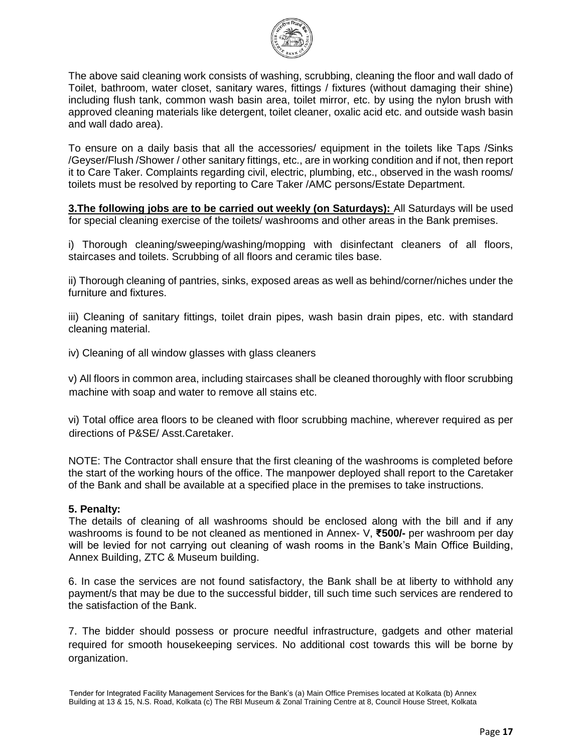

The above said cleaning work consists of washing, scrubbing, cleaning the floor and wall dado of Toilet, bathroom, water closet, sanitary wares, fittings / fixtures (without damaging their shine) including flush tank, common wash basin area, toilet mirror, etc. by using the nylon brush with approved cleaning materials like detergent, toilet cleaner, oxalic acid etc. and outside wash basin and wall dado area).

To ensure on a daily basis that all the accessories/ equipment in the toilets like Taps /Sinks /Geyser/Flush /Shower / other sanitary fittings, etc., are in working condition and if not, then report it to Care Taker. Complaints regarding civil, electric, plumbing, etc., observed in the wash rooms/ toilets must be resolved by reporting to Care Taker /AMC persons/Estate Department.

**3. The following jobs are to be carried out weekly (on Saturdays):** All Saturdays will be used for special cleaning exercise of the toilets/ washrooms and other areas in the Bank premises.

i) Thorough cleaning/sweeping/washing/mopping with disinfectant cleaners of all floors, staircases and toilets. Scrubbing of all floors and ceramic tiles base.

ii) Thorough cleaning of pantries, sinks, exposed areas as well as behind/corner/niches under the furniture and fixtures.

iii) Cleaning of sanitary fittings, toilet drain pipes, wash basin drain pipes, etc. with standard cleaning material.

iv) Cleaning of all window glasses with glass cleaners

v) All floors in common area, including staircases shall be cleaned thoroughly with floor scrubbing machine with soap and water to remove all stains etc.

vi) Total office area floors to be cleaned with floor scrubbing machine, wherever required as per directions of P&SE/ Asst.Caretaker.

NOTE: The Contractor shall ensure that the first cleaning of the washrooms is completed before the start of the working hours of the office. The manpower deployed shall report to the Caretaker of the Bank and shall be available at a specified place in the premises to take instructions.

#### **5. Penalty:**

The details of cleaning of all washrooms should be enclosed along with the bill and if any washrooms is found to be not cleaned as mentioned in Annex- V, **₹500/-** per washroom per day will be levied for not carrying out cleaning of wash rooms in the Bank's Main Office Building, Annex Building, ZTC & Museum building.

6. In case the services are not found satisfactory, the Bank shall be at liberty to withhold any payment/s that may be due to the successful bidder, till such time such services are rendered to the satisfaction of the Bank.

7. The bidder should possess or procure needful infrastructure, gadgets and other material required for smooth housekeeping services. No additional cost towards this will be borne by organization.

Tender for Integrated Facility Management Services for the Bank's (a) Main Office Premises located at Kolkata (b) Annex Building at 13 & 15, N.S. Road, Kolkata (c) The RBI Museum & Zonal Training Centre at 8, Council House Street, Kolkata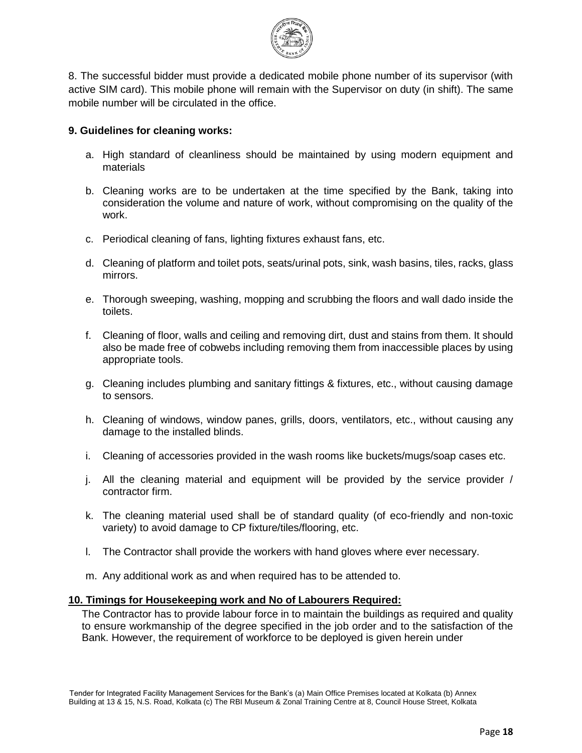

8. The successful bidder must provide a dedicated mobile phone number of its supervisor (with active SIM card). This mobile phone will remain with the Supervisor on duty (in shift). The same mobile number will be circulated in the office.

#### **9. Guidelines for cleaning works:**

- a. High standard of cleanliness should be maintained by using modern equipment and materials
- b. Cleaning works are to be undertaken at the time specified by the Bank, taking into consideration the volume and nature of work, without compromising on the quality of the work.
- c. Periodical cleaning of fans, lighting fixtures exhaust fans, etc.
- d. Cleaning of platform and toilet pots, seats/urinal pots, sink, wash basins, tiles, racks, glass mirrors.
- e. Thorough sweeping, washing, mopping and scrubbing the floors and wall dado inside the toilets.
- f. Cleaning of floor, walls and ceiling and removing dirt, dust and stains from them. It should also be made free of cobwebs including removing them from inaccessible places by using appropriate tools.
- g. Cleaning includes plumbing and sanitary fittings & fixtures, etc., without causing damage to sensors.
- h. Cleaning of windows, window panes, grills, doors, ventilators, etc., without causing any damage to the installed blinds.
- i. Cleaning of accessories provided in the wash rooms like buckets/mugs/soap cases etc.
- j. All the cleaning material and equipment will be provided by the service provider / contractor firm.
- k. The cleaning material used shall be of standard quality (of eco-friendly and non-toxic variety) to avoid damage to CP fixture/tiles/flooring, etc.
- l. The Contractor shall provide the workers with hand gloves where ever necessary.
- m. Any additional work as and when required has to be attended to.

#### **10. Timings for Housekeeping work and No of Labourers Required:**

The Contractor has to provide labour force in to maintain the buildings as required and quality to ensure workmanship of the degree specified in the job order and to the satisfaction of the Bank. However, the requirement of workforce to be deployed is given herein under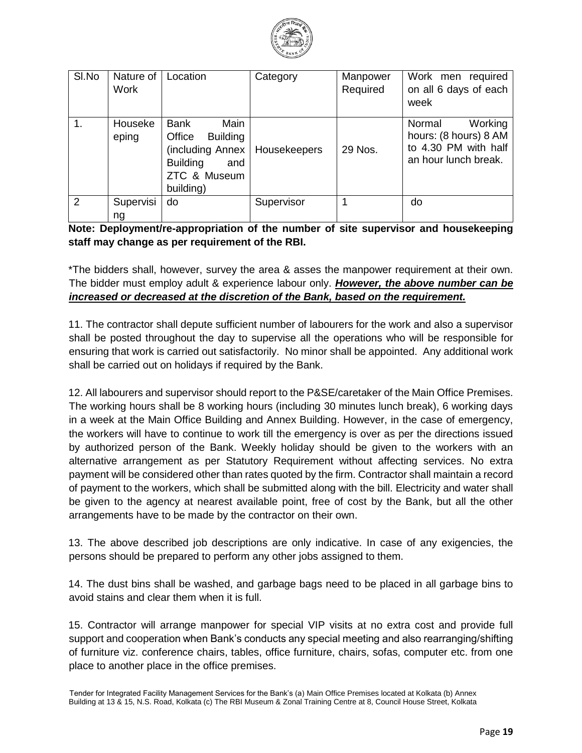

| SI.No | Nature of<br><b>Work</b> | Location                                                                                                             | Category     | Manpower<br>Required | Work men required<br>on all 6 days of each<br>week                                         |
|-------|--------------------------|----------------------------------------------------------------------------------------------------------------------|--------------|----------------------|--------------------------------------------------------------------------------------------|
| 1.    | Houseke<br>eping         | Main<br>Bank<br>Office<br><b>Building</b><br>(including Annex<br><b>Building</b><br>and<br>ZTC & Museum<br>building) | Housekeepers | 29 Nos.              | Normal<br>Working<br>hours: (8 hours) 8 AM<br>to 4.30 PM with half<br>an hour lunch break. |
| 2     | Supervisi<br>na          | do                                                                                                                   | Supervisor   |                      | do                                                                                         |

## **Note: Deployment/re-appropriation of the number of site supervisor and housekeeping staff may change as per requirement of the RBI.**

\*The bidders shall, however, survey the area & asses the manpower requirement at their own. The bidder must employ adult & experience labour only. *However, the above number can be increased or decreased at the discretion of the Bank, based on the requirement.*

11. The contractor shall depute sufficient number of labourers for the work and also a supervisor shall be posted throughout the day to supervise all the operations who will be responsible for ensuring that work is carried out satisfactorily. No minor shall be appointed. Any additional work shall be carried out on holidays if required by the Bank.

12. All labourers and supervisor should report to the P&SE/caretaker of the Main Office Premises. The working hours shall be 8 working hours (including 30 minutes lunch break), 6 working days in a week at the Main Office Building and Annex Building. However, in the case of emergency, the workers will have to continue to work till the emergency is over as per the directions issued by authorized person of the Bank. Weekly holiday should be given to the workers with an alternative arrangement as per Statutory Requirement without affecting services. No extra payment will be considered other than rates quoted by the firm. Contractor shall maintain a record of payment to the workers, which shall be submitted along with the bill. Electricity and water shall be given to the agency at nearest available point, free of cost by the Bank, but all the other arrangements have to be made by the contractor on their own.

13. The above described job descriptions are only indicative. In case of any exigencies, the persons should be prepared to perform any other jobs assigned to them.

14. The dust bins shall be washed, and garbage bags need to be placed in all garbage bins to avoid stains and clear them when it is full.

15. Contractor will arrange manpower for special VIP visits at no extra cost and provide full support and cooperation when Bank's conducts any special meeting and also rearranging/shifting of furniture viz. conference chairs, tables, office furniture, chairs, sofas, computer etc. from one place to another place in the office premises.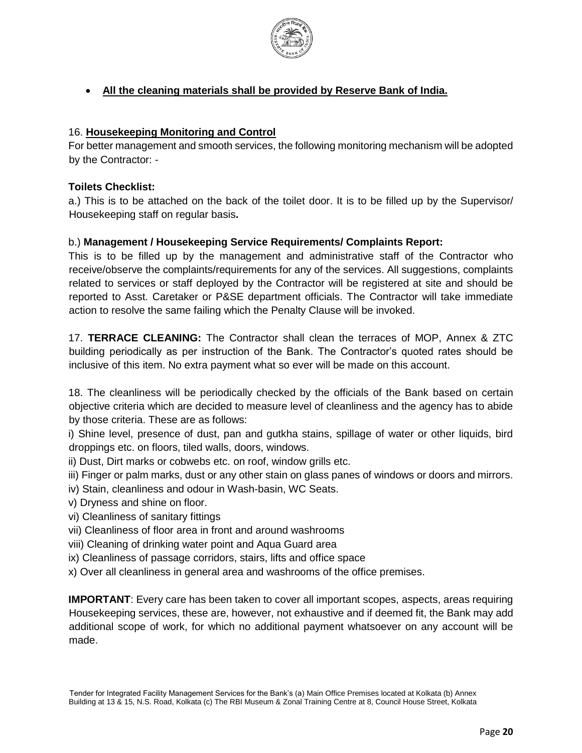

# **All the cleaning materials shall be provided by Reserve Bank of India.**

## 16. **Housekeeping Monitoring and Control**

For better management and smooth services, the following monitoring mechanism will be adopted by the Contractor: -

## **Toilets Checklist:**

a.) This is to be attached on the back of the toilet door. It is to be filled up by the Supervisor/ Housekeeping staff on regular basis**.**

## b.) **Management / Housekeeping Service Requirements/ Complaints Report:**

This is to be filled up by the management and administrative staff of the Contractor who receive/observe the complaints/requirements for any of the services. All suggestions, complaints related to services or staff deployed by the Contractor will be registered at site and should be reported to Asst. Caretaker or P&SE department officials. The Contractor will take immediate action to resolve the same failing which the Penalty Clause will be invoked.

17. **TERRACE CLEANING:** The Contractor shall clean the terraces of MOP, Annex & ZTC building periodically as per instruction of the Bank. The Contractor's quoted rates should be inclusive of this item. No extra payment what so ever will be made on this account.

18. The cleanliness will be periodically checked by the officials of the Bank based on certain objective criteria which are decided to measure level of cleanliness and the agency has to abide by those criteria. These are as follows:

i) Shine level, presence of dust, pan and gutkha stains, spillage of water or other liquids, bird droppings etc. on floors, tiled walls, doors, windows.

ii) Dust, Dirt marks or cobwebs etc. on roof, window grills etc.

- iii) Finger or palm marks, dust or any other stain on glass panes of windows or doors and mirrors.
- iv) Stain, cleanliness and odour in Wash-basin, WC Seats.
- v) Dryness and shine on floor.
- vi) Cleanliness of sanitary fittings
- vii) Cleanliness of floor area in front and around washrooms
- viii) Cleaning of drinking water point and Aqua Guard area
- ix) Cleanliness of passage corridors, stairs, lifts and office space
- x) Over all cleanliness in general area and washrooms of the office premises.

**IMPORTANT**: Every care has been taken to cover all important scopes, aspects, areas requiring Housekeeping services, these are, however, not exhaustive and if deemed fit, the Bank may add additional scope of work, for which no additional payment whatsoever on any account will be made.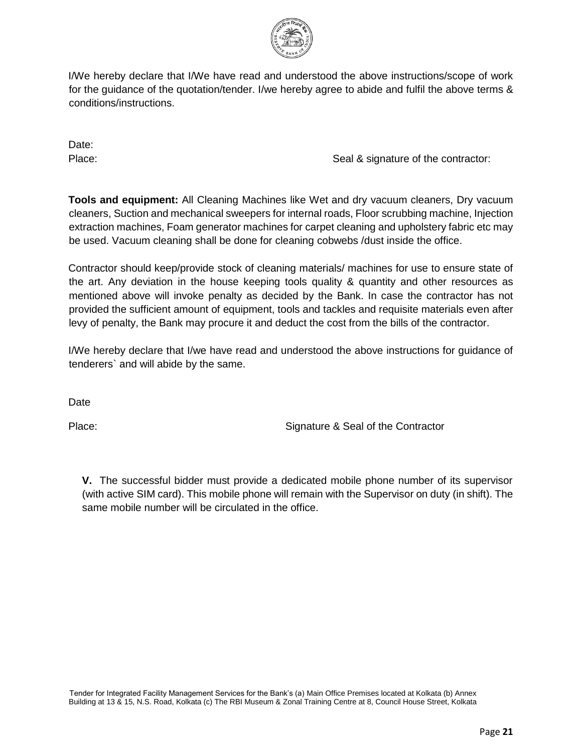

I/We hereby declare that I/We have read and understood the above instructions/scope of work for the guidance of the quotation/tender. I/we hereby agree to abide and fulfil the above terms & conditions/instructions.

Date:

Place:  $\blacksquare$  Seal & signature of the contractor:

**Tools and equipment:** All Cleaning Machines like Wet and dry vacuum cleaners, Dry vacuum cleaners, Suction and mechanical sweepers for internal roads, Floor scrubbing machine, Injection extraction machines, Foam generator machines for carpet cleaning and upholstery fabric etc may be used. Vacuum cleaning shall be done for cleaning cobwebs /dust inside the office.

Contractor should keep/provide stock of cleaning materials/ machines for use to ensure state of the art. Any deviation in the house keeping tools quality & quantity and other resources as mentioned above will invoke penalty as decided by the Bank. In case the contractor has not provided the sufficient amount of equipment, tools and tackles and requisite materials even after levy of penalty, the Bank may procure it and deduct the cost from the bills of the contractor.

I/We hereby declare that I/we have read and understood the above instructions for guidance of tenderers` and will abide by the same.

**Date** 

Place: Signature & Seal of the Contractor

**V.** The successful bidder must provide a dedicated mobile phone number of its supervisor (with active SIM card). This mobile phone will remain with the Supervisor on duty (in shift). The same mobile number will be circulated in the office.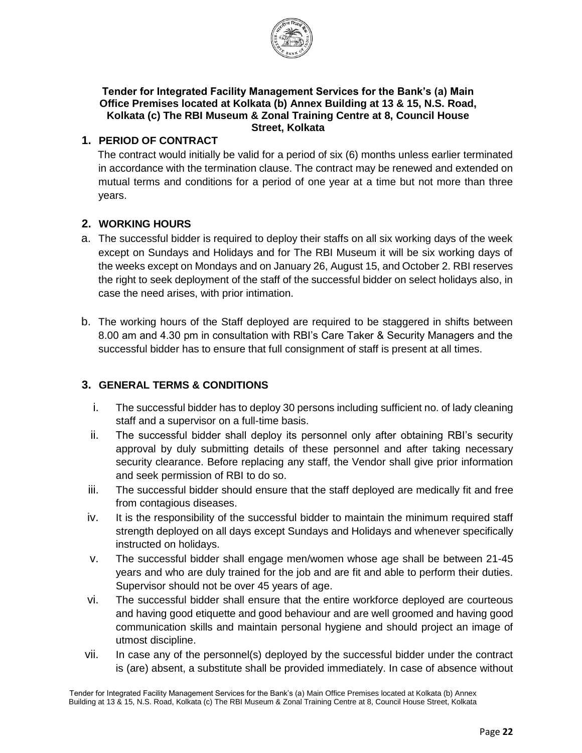

#### **Tender for Integrated Facility Management Services for the Bank's (a) Main Office Premises located at Kolkata (b) Annex Building at 13 & 15, N.S. Road, Kolkata (c) The RBI Museum & Zonal Training Centre at 8, Council House Street, Kolkata**

# **1. PERIOD OF CONTRACT**

The contract would initially be valid for a period of six (6) months unless earlier terminated in accordance with the termination clause. The contract may be renewed and extended on mutual terms and conditions for a period of one year at a time but not more than three years.

## **2. WORKING HOURS**

- a. The successful bidder is required to deploy their staffs on all six working days of the week except on Sundays and Holidays and for The RBI Museum it will be six working days of the weeks except on Mondays and on January 26, August 15, and October 2. RBI reserves the right to seek deployment of the staff of the successful bidder on select holidays also, in case the need arises, with prior intimation.
- b. The working hours of the Staff deployed are required to be staggered in shifts between 8.00 am and 4.30 pm in consultation with RBI's Care Taker & Security Managers and the successful bidder has to ensure that full consignment of staff is present at all times.

## **3. GENERAL TERMS & CONDITIONS**

- i. The successful bidder has to deploy 30 persons including sufficient no. of lady cleaning staff and a supervisor on a full-time basis.
- ii. The successful bidder shall deploy its personnel only after obtaining RBI's security approval by duly submitting details of these personnel and after taking necessary security clearance. Before replacing any staff, the Vendor shall give prior information and seek permission of RBI to do so.
- iii. The successful bidder should ensure that the staff deployed are medically fit and free from contagious diseases.
- iv. It is the responsibility of the successful bidder to maintain the minimum required staff strength deployed on all days except Sundays and Holidays and whenever specifically instructed on holidays.
- v. The successful bidder shall engage men/women whose age shall be between 21-45 years and who are duly trained for the job and are fit and able to perform their duties. Supervisor should not be over 45 years of age.
- vi. The successful bidder shall ensure that the entire workforce deployed are courteous and having good etiquette and good behaviour and are well groomed and having good communication skills and maintain personal hygiene and should project an image of utmost discipline.
- vii. In case any of the personnel(s) deployed by the successful bidder under the contract is (are) absent, a substitute shall be provided immediately. In case of absence without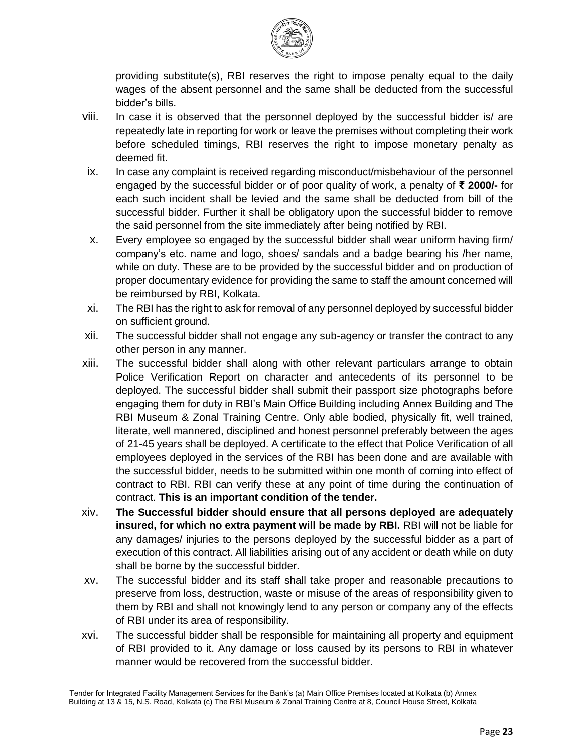

providing substitute(s), RBI reserves the right to impose penalty equal to the daily wages of the absent personnel and the same shall be deducted from the successful bidder's bills.

- viii. In case it is observed that the personnel deployed by the successful bidder is/ are repeatedly late in reporting for work or leave the premises without completing their work before scheduled timings, RBI reserves the right to impose monetary penalty as deemed fit.
- ix. In case any complaint is received regarding misconduct/misbehaviour of the personnel engaged by the successful bidder or of poor quality of work, a penalty of **₹ 2000/-** for each such incident shall be levied and the same shall be deducted from bill of the successful bidder. Further it shall be obligatory upon the successful bidder to remove the said personnel from the site immediately after being notified by RBI.
- x. Every employee so engaged by the successful bidder shall wear uniform having firm/ company's etc. name and logo, shoes/ sandals and a badge bearing his /her name, while on duty. These are to be provided by the successful bidder and on production of proper documentary evidence for providing the same to staff the amount concerned will be reimbursed by RBI, Kolkata.
- xi. The RBI has the right to ask for removal of any personnel deployed by successful bidder on sufficient ground.
- xii. The successful bidder shall not engage any sub-agency or transfer the contract to any other person in any manner.
- xiii. The successful bidder shall along with other relevant particulars arrange to obtain Police Verification Report on character and antecedents of its personnel to be deployed. The successful bidder shall submit their passport size photographs before engaging them for duty in RBI's Main Office Building including Annex Building and The RBI Museum & Zonal Training Centre. Only able bodied, physically fit, well trained, literate, well mannered, disciplined and honest personnel preferably between the ages of 21-45 years shall be deployed. A certificate to the effect that Police Verification of all employees deployed in the services of the RBI has been done and are available with the successful bidder, needs to be submitted within one month of coming into effect of contract to RBI. RBI can verify these at any point of time during the continuation of contract. **This is an important condition of the tender.**
- xiv. **The Successful bidder should ensure that all persons deployed are adequately insured, for which no extra payment will be made by RBI.** RBI will not be liable for any damages/ injuries to the persons deployed by the successful bidder as a part of execution of this contract. All liabilities arising out of any accident or death while on duty shall be borne by the successful bidder.
- xv. The successful bidder and its staff shall take proper and reasonable precautions to preserve from loss, destruction, waste or misuse of the areas of responsibility given to them by RBI and shall not knowingly lend to any person or company any of the effects of RBI under its area of responsibility.
- xvi. The successful bidder shall be responsible for maintaining all property and equipment of RBI provided to it. Any damage or loss caused by its persons to RBI in whatever manner would be recovered from the successful bidder.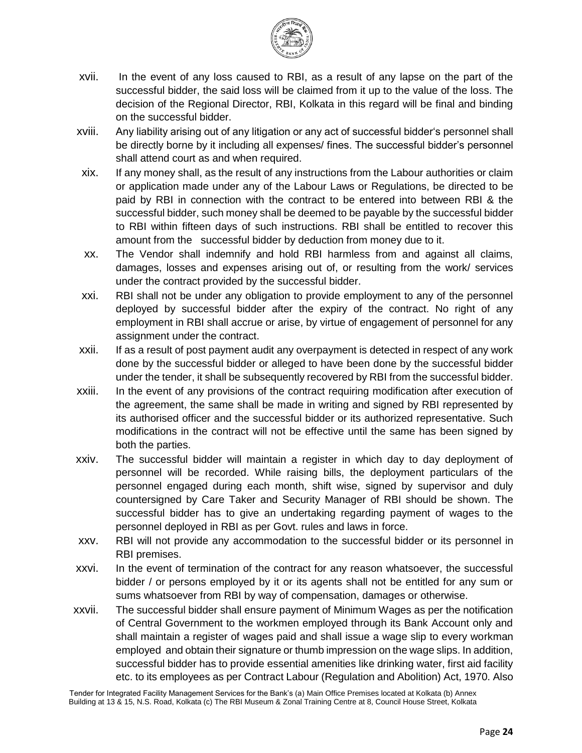

- xvii. In the event of any loss caused to RBI, as a result of any lapse on the part of the successful bidder, the said loss will be claimed from it up to the value of the loss. The decision of the Regional Director, RBI, Kolkata in this regard will be final and binding on the successful bidder.
- xviii. Any liability arising out of any litigation or any act of successful bidder's personnel shall be directly borne by it including all expenses/ fines. The successful bidder's personnel shall attend court as and when required.
- xix. If any money shall, as the result of any instructions from the Labour authorities or claim or application made under any of the Labour Laws or Regulations, be directed to be paid by RBI in connection with the contract to be entered into between RBI & the successful bidder, such money shall be deemed to be payable by the successful bidder to RBI within fifteen days of such instructions. RBI shall be entitled to recover this amount from the successful bidder by deduction from money due to it.
- xx. The Vendor shall indemnify and hold RBI harmless from and against all claims, damages, losses and expenses arising out of, or resulting from the work/ services under the contract provided by the successful bidder.
- xxi. RBI shall not be under any obligation to provide employment to any of the personnel deployed by successful bidder after the expiry of the contract. No right of any employment in RBI shall accrue or arise, by virtue of engagement of personnel for any assignment under the contract.
- xxii. If as a result of post payment audit any overpayment is detected in respect of any work done by the successful bidder or alleged to have been done by the successful bidder under the tender, it shall be subsequently recovered by RBI from the successful bidder.
- xxiii. In the event of any provisions of the contract requiring modification after execution of the agreement, the same shall be made in writing and signed by RBI represented by its authorised officer and the successful bidder or its authorized representative. Such modifications in the contract will not be effective until the same has been signed by both the parties.
- xxiv. The successful bidder will maintain a register in which day to day deployment of personnel will be recorded. While raising bills, the deployment particulars of the personnel engaged during each month, shift wise, signed by supervisor and duly countersigned by Care Taker and Security Manager of RBI should be shown. The successful bidder has to give an undertaking regarding payment of wages to the personnel deployed in RBI as per Govt. rules and laws in force.
- xxv. RBI will not provide any accommodation to the successful bidder or its personnel in RBI premises.
- xxvi. In the event of termination of the contract for any reason whatsoever, the successful bidder / or persons employed by it or its agents shall not be entitled for any sum or sums whatsoever from RBI by way of compensation, damages or otherwise.
- xxvii. The successful bidder shall ensure payment of Minimum Wages as per the notification of Central Government to the workmen employed through its Bank Account only and shall maintain a register of wages paid and shall issue a wage slip to every workman employed and obtain their signature or thumb impression on the wage slips. In addition, successful bidder has to provide essential amenities like drinking water, first aid facility etc. to its employees as per Contract Labour (Regulation and Abolition) Act, 1970. Also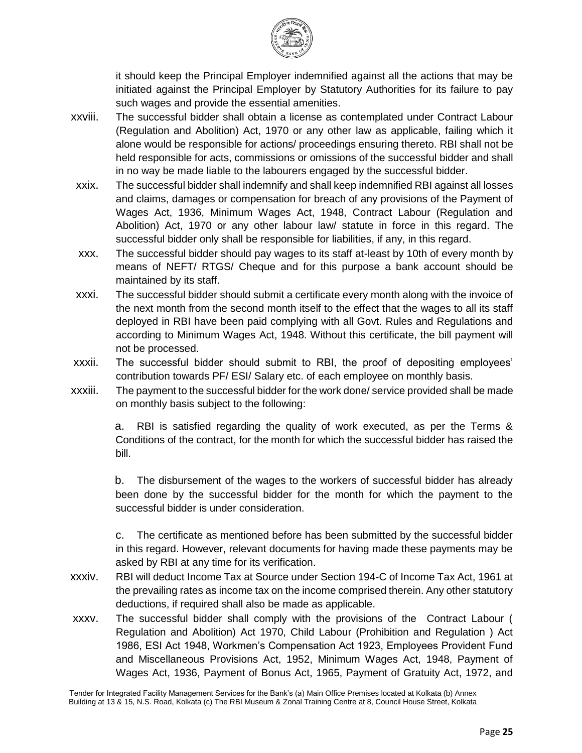

it should keep the Principal Employer indemnified against all the actions that may be initiated against the Principal Employer by Statutory Authorities for its failure to pay such wages and provide the essential amenities.

- xxviii. The successful bidder shall obtain a license as contemplated under Contract Labour (Regulation and Abolition) Act, 1970 or any other law as applicable, failing which it alone would be responsible for actions/ proceedings ensuring thereto. RBI shall not be held responsible for acts, commissions or omissions of the successful bidder and shall in no way be made liable to the labourers engaged by the successful bidder.
- xxix. The successful bidder shall indemnify and shall keep indemnified RBI against all losses and claims, damages or compensation for breach of any provisions of the Payment of Wages Act, 1936, Minimum Wages Act, 1948, Contract Labour (Regulation and Abolition) Act, 1970 or any other labour law/ statute in force in this regard. The successful bidder only shall be responsible for liabilities, if any, in this regard.
- xxx. The successful bidder should pay wages to its staff at-least by 10th of every month by means of NEFT/ RTGS/ Cheque and for this purpose a bank account should be maintained by its staff.
- xxxi. The successful bidder should submit a certificate every month along with the invoice of the next month from the second month itself to the effect that the wages to all its staff deployed in RBI have been paid complying with all Govt. Rules and Regulations and according to Minimum Wages Act, 1948. Without this certificate, the bill payment will not be processed.
- xxxii. The successful bidder should submit to RBI, the proof of depositing employees' contribution towards PF/ ESI/ Salary etc. of each employee on monthly basis.
- xxxiii. The payment to the successful bidder for the work done/ service provided shall be made on monthly basis subject to the following:

a. RBI is satisfied regarding the quality of work executed, as per the Terms & Conditions of the contract, for the month for which the successful bidder has raised the bill.

b. The disbursement of the wages to the workers of successful bidder has already been done by the successful bidder for the month for which the payment to the successful bidder is under consideration.

c. The certificate as mentioned before has been submitted by the successful bidder in this regard. However, relevant documents for having made these payments may be asked by RBI at any time for its verification.

- xxxiv. RBI will deduct Income Tax at Source under Section 194-C of Income Tax Act, 1961 at the prevailing rates as income tax on the income comprised therein. Any other statutory deductions, if required shall also be made as applicable.
- xxxv. The successful bidder shall comply with the provisions of the Contract Labour ( Regulation and Abolition) Act 1970, Child Labour (Prohibition and Regulation ) Act 1986, ESI Act 1948, Workmen's Compensation Act 1923, Employees Provident Fund and Miscellaneous Provisions Act, 1952, Minimum Wages Act, 1948, Payment of Wages Act, 1936, Payment of Bonus Act, 1965, Payment of Gratuity Act, 1972, and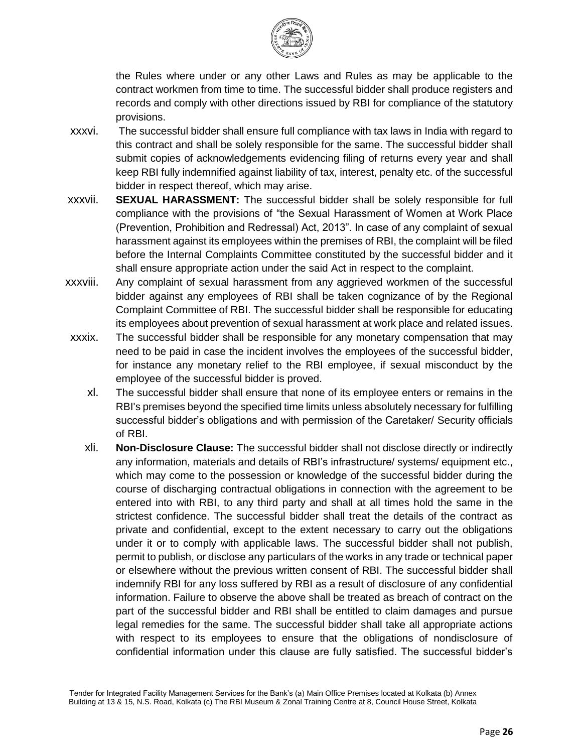

the Rules where under or any other Laws and Rules as may be applicable to the contract workmen from time to time. The successful bidder shall produce registers and records and comply with other directions issued by RBI for compliance of the statutory provisions.

- xxxvi. The successful bidder shall ensure full compliance with tax laws in India with regard to this contract and shall be solely responsible for the same. The successful bidder shall submit copies of acknowledgements evidencing filing of returns every year and shall keep RBI fully indemnified against liability of tax, interest, penalty etc. of the successful bidder in respect thereof, which may arise.
- xxxvii. **SEXUAL HARASSMENT:** The successful bidder shall be solely responsible for full compliance with the provisions of "the Sexual Harassment of Women at Work Place (Prevention, Prohibition and Redressal) Act, 2013". In case of any complaint of sexual harassment against its employees within the premises of RBI, the complaint will be filed before the Internal Complaints Committee constituted by the successful bidder and it shall ensure appropriate action under the said Act in respect to the complaint.
- xxxviii. Any complaint of sexual harassment from any aggrieved workmen of the successful bidder against any employees of RBI shall be taken cognizance of by the Regional Complaint Committee of RBI. The successful bidder shall be responsible for educating its employees about prevention of sexual harassment at work place and related issues.
- xxxix. The successful bidder shall be responsible for any monetary compensation that may need to be paid in case the incident involves the employees of the successful bidder, for instance any monetary relief to the RBI employee, if sexual misconduct by the employee of the successful bidder is proved.
	- xl. The successful bidder shall ensure that none of its employee enters or remains in the RBI's premises beyond the specified time limits unless absolutely necessary for fulfilling successful bidder's obligations and with permission of the Caretaker/ Security officials of RBI.
	- xli. **Non-Disclosure Clause:** The successful bidder shall not disclose directly or indirectly any information, materials and details of RBI's infrastructure/ systems/ equipment etc., which may come to the possession or knowledge of the successful bidder during the course of discharging contractual obligations in connection with the agreement to be entered into with RBI, to any third party and shall at all times hold the same in the strictest confidence. The successful bidder shall treat the details of the contract as private and confidential, except to the extent necessary to carry out the obligations under it or to comply with applicable laws. The successful bidder shall not publish, permit to publish, or disclose any particulars of the works in any trade or technical paper or elsewhere without the previous written consent of RBI. The successful bidder shall indemnify RBI for any loss suffered by RBI as a result of disclosure of any confidential information. Failure to observe the above shall be treated as breach of contract on the part of the successful bidder and RBI shall be entitled to claim damages and pursue legal remedies for the same. The successful bidder shall take all appropriate actions with respect to its employees to ensure that the obligations of nondisclosure of confidential information under this clause are fully satisfied. The successful bidder's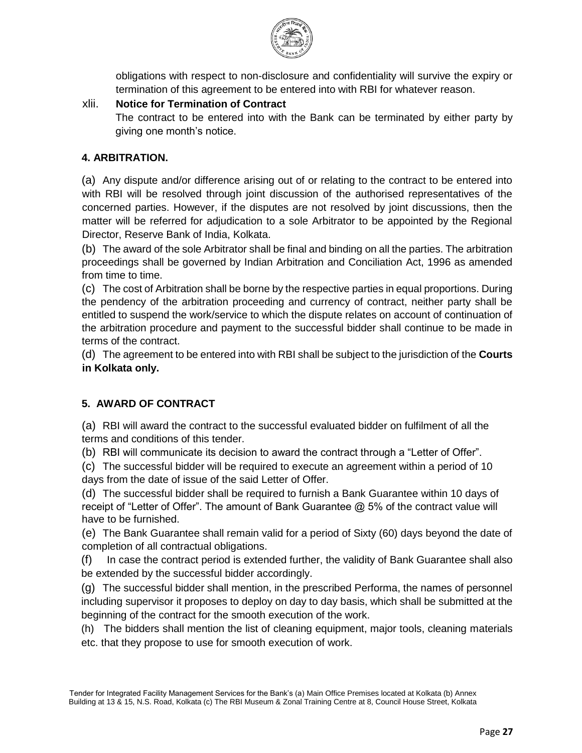

obligations with respect to non-disclosure and confidentiality will survive the expiry or termination of this agreement to be entered into with RBI for whatever reason.

## xlii. **Notice for Termination of Contract**

The contract to be entered into with the Bank can be terminated by either party by giving one month's notice.

## **4. ARBITRATION.**

(a) Any dispute and/or difference arising out of or relating to the contract to be entered into with RBI will be resolved through joint discussion of the authorised representatives of the concerned parties. However, if the disputes are not resolved by joint discussions, then the matter will be referred for adjudication to a sole Arbitrator to be appointed by the Regional Director, Reserve Bank of India, Kolkata.

(b) The award of the sole Arbitrator shall be final and binding on all the parties. The arbitration proceedings shall be governed by Indian Arbitration and Conciliation Act, 1996 as amended from time to time.

(c) The cost of Arbitration shall be borne by the respective parties in equal proportions. During the pendency of the arbitration proceeding and currency of contract, neither party shall be entitled to suspend the work/service to which the dispute relates on account of continuation of the arbitration procedure and payment to the successful bidder shall continue to be made in terms of the contract.

(d) The agreement to be entered into with RBI shall be subject to the jurisdiction of the **Courts in Kolkata only.** 

## **5. AWARD OF CONTRACT**

(a) RBI will award the contract to the successful evaluated bidder on fulfilment of all the terms and conditions of this tender.

(b) RBI will communicate its decision to award the contract through a "Letter of Offer".

(c) The successful bidder will be required to execute an agreement within a period of 10 days from the date of issue of the said Letter of Offer.

(d) The successful bidder shall be required to furnish a Bank Guarantee within 10 days of receipt of "Letter of Offer". The amount of Bank Guarantee @ 5% of the contract value will have to be furnished.

(e) The Bank Guarantee shall remain valid for a period of Sixty (60) days beyond the date of completion of all contractual obligations.

(f) In case the contract period is extended further, the validity of Bank Guarantee shall also be extended by the successful bidder accordingly.

(g) The successful bidder shall mention, in the prescribed Performa, the names of personnel including supervisor it proposes to deploy on day to day basis, which shall be submitted at the beginning of the contract for the smooth execution of the work.

(h) The bidders shall mention the list of cleaning equipment, major tools, cleaning materials etc. that they propose to use for smooth execution of work.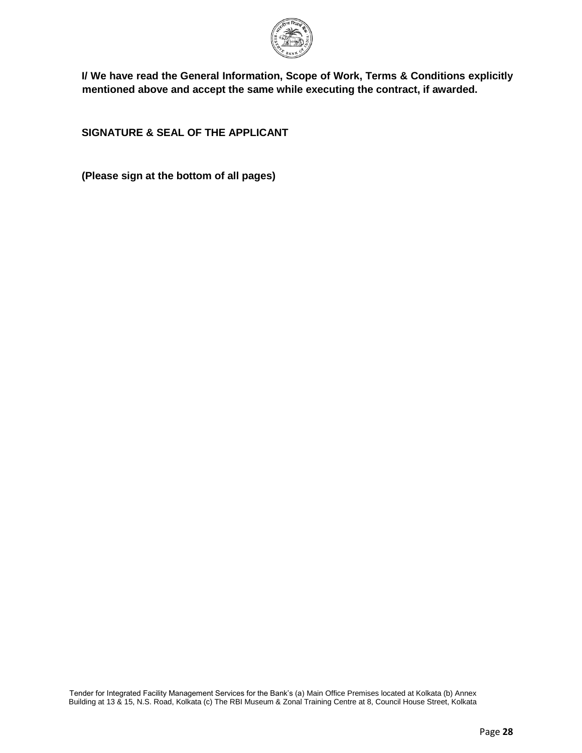

**I/ We have read the General Information, Scope of Work, Terms & Conditions explicitly mentioned above and accept the same while executing the contract, if awarded.** 

**SIGNATURE & SEAL OF THE APPLICANT** 

**(Please sign at the bottom of all pages)**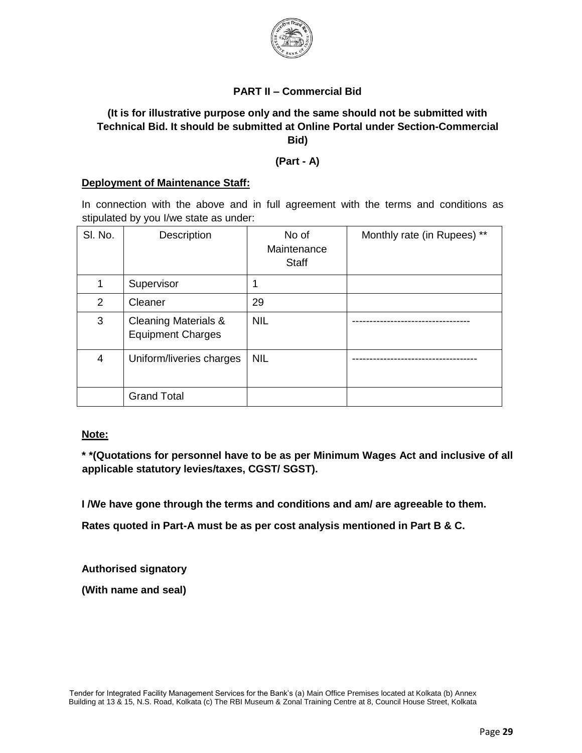

## **PART II – Commercial Bid**

## **(It is for illustrative purpose only and the same should not be submitted with Technical Bid. It should be submitted at Online Portal under Section-Commercial Bid)**

#### **(Part - A)**

#### **Deployment of Maintenance Staff:**

In connection with the above and in full agreement with the terms and conditions as stipulated by you I/we state as under:

| SI. No.        | <b>Description</b>                                          | No of<br>Maintenance<br><b>Staff</b> | Monthly rate (in Rupees) ** |
|----------------|-------------------------------------------------------------|--------------------------------------|-----------------------------|
| 1              | Supervisor                                                  | 1                                    |                             |
| $\overline{2}$ | Cleaner                                                     | 29                                   |                             |
| 3              | <b>Cleaning Materials &amp;</b><br><b>Equipment Charges</b> | <b>NIL</b>                           |                             |
| 4              | Uniform/liveries charges                                    | <b>NIL</b>                           |                             |
|                | <b>Grand Total</b>                                          |                                      |                             |

#### **Note:**

**\* \*(Quotations for personnel have to be as per Minimum Wages Act and inclusive of all applicable statutory levies/taxes, CGST/ SGST).** 

**I /We have gone through the terms and conditions and am/ are agreeable to them.** 

**Rates quoted in Part-A must be as per cost analysis mentioned in Part B & C.** 

**Authorised signatory** 

**(With name and seal)**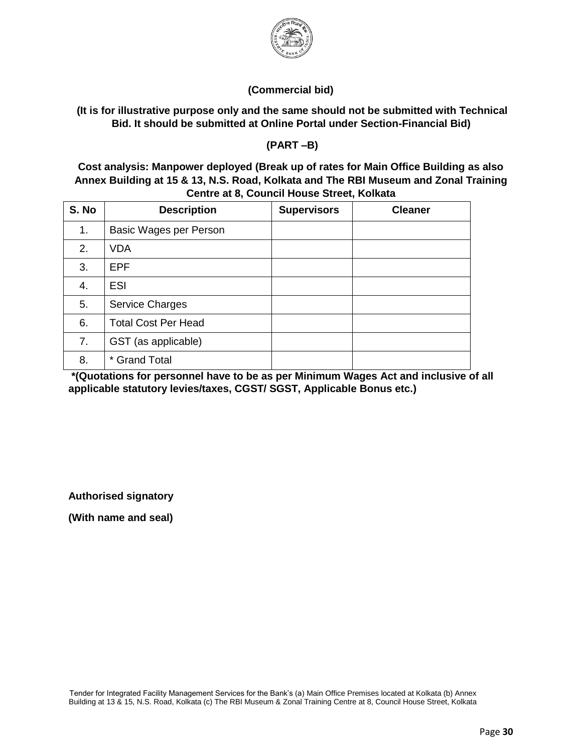

## **(Commercial bid)**

## **(It is for illustrative purpose only and the same should not be submitted with Technical Bid. It should be submitted at Online Portal under Section-Financial Bid)**

**(PART –B)** 

**Cost analysis: Manpower deployed (Break up of rates for Main Office Building as also Annex Building at 15 & 13, N.S. Road, Kolkata and The RBI Museum and Zonal Training Centre at 8, Council House Street, Kolkata**

| S. No | <b>Description</b>         | <b>Supervisors</b> | <b>Cleaner</b> |
|-------|----------------------------|--------------------|----------------|
| 1.    | Basic Wages per Person     |                    |                |
| 2.    | <b>VDA</b>                 |                    |                |
| 3.    | EPF                        |                    |                |
| 4.    | <b>ESI</b>                 |                    |                |
| 5.    | <b>Service Charges</b>     |                    |                |
| 6.    | <b>Total Cost Per Head</b> |                    |                |
| 7.    | GST (as applicable)        |                    |                |
| 8.    | * Grand Total              |                    |                |

**\*(Quotations for personnel have to be as per Minimum Wages Act and inclusive of all applicable statutory levies/taxes, CGST/ SGST, Applicable Bonus etc.)** 

**Authorised signatory** 

**(With name and seal)**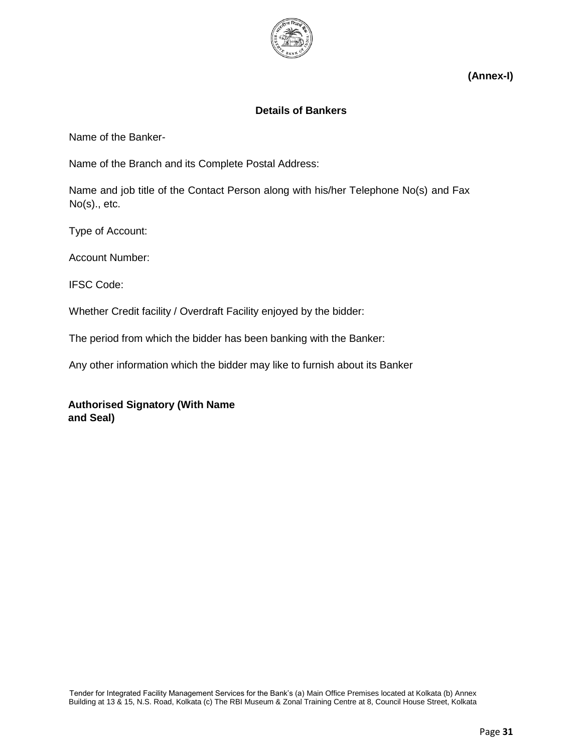

**(Annex-I)**

## **Details of Bankers**

Name of the Banker-

Name of the Branch and its Complete Postal Address:

Name and job title of the Contact Person along with his/her Telephone No(s) and Fax No(s)., etc.

Type of Account:

Account Number:

IFSC Code:

Whether Credit facility / Overdraft Facility enjoyed by the bidder:

The period from which the bidder has been banking with the Banker:

Any other information which the bidder may like to furnish about its Banker

**Authorised Signatory (With Name and Seal)**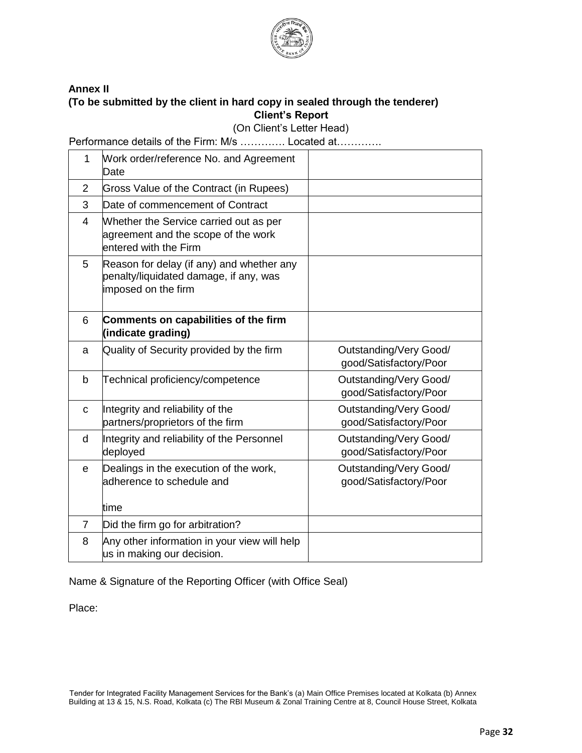

#### **Annex II (To be submitted by the client in hard copy in sealed through the tenderer) Client's Report**

(On Client's Letter Head)

Performance details of the Firm: M/s …………. Located at………….

| $\mathbf{1}$   | Work order/reference No. and Agreement<br>Date                                                             |                                                  |
|----------------|------------------------------------------------------------------------------------------------------------|--------------------------------------------------|
| 2              | <b>Gross Value of the Contract (in Rupees)</b>                                                             |                                                  |
| 3              | Date of commencement of Contract                                                                           |                                                  |
| 4              | Whether the Service carried out as per<br>agreement and the scope of the work<br>entered with the Firm     |                                                  |
| 5              | Reason for delay (if any) and whether any<br>penalty/liquidated damage, if any, was<br>imposed on the firm |                                                  |
| 6              | Comments on capabilities of the firm<br>(indicate grading)                                                 |                                                  |
| a              | Quality of Security provided by the firm                                                                   | Outstanding/Very Good/<br>good/Satisfactory/Poor |
| b              | Technical proficiency/competence                                                                           | Outstanding/Very Good/<br>good/Satisfactory/Poor |
| $\mathbf C$    | Integrity and reliability of the<br>partners/proprietors of the firm                                       | Outstanding/Very Good/<br>good/Satisfactory/Poor |
| d              | Integrity and reliability of the Personnel<br>deployed                                                     | Outstanding/Very Good/<br>good/Satisfactory/Poor |
| $\mathbf e$    | Dealings in the execution of the work,<br>adherence to schedule and                                        | Outstanding/Very Good/<br>good/Satisfactory/Poor |
|                | time                                                                                                       |                                                  |
| $\overline{7}$ | Did the firm go for arbitration?                                                                           |                                                  |
| 8              | Any other information in your view will help<br>us in making our decision.                                 |                                                  |

Name & Signature of the Reporting Officer (with Office Seal)

Place: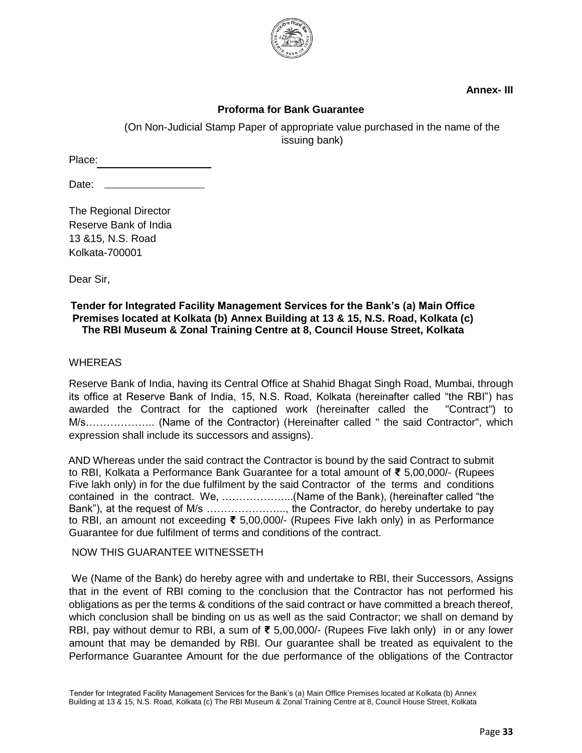

**Annex- III** 

## **Proforma for Bank Guarantee**

(On Non-Judicial Stamp Paper of appropriate value purchased in the name of the issuing bank)

Place:

Date: \_

The Regional Director Reserve Bank of India 13 &15, N.S. Road Kolkata-700001

Dear Sir,

#### **Tender for Integrated Facility Management Services for the Bank's (a) Main Office Premises located at Kolkata (b) Annex Building at 13 & 15, N.S. Road, Kolkata (c) The RBI Museum & Zonal Training Centre at 8, Council House Street, Kolkata**

#### **WHEREAS**

Reserve Bank of India, having its Central Office at Shahid Bhagat Singh Road, Mumbai, through its office at Reserve Bank of India, 15, N.S. Road, Kolkata (hereinafter called "the RBI") has awarded the Contract for the captioned work (hereinafter called the "Contract") to M/s……………….. (Name of the Contractor) (Hereinafter called " the said Contractor", which expression shall include its successors and assigns).

AND Whereas under the said contract the Contractor is bound by the said Contract to submit to RBI, Kolkata a Performance Bank Guarantee for a total amount of **₹** 5,00,000/- (Rupees Five lakh only) in for the due fulfilment by the said Contractor of the terms and conditions contained in the contract. We, ………………...(Name of the Bank), (hereinafter called "the Bank"), at the request of M/s ………………….., the Contractor, do hereby undertake to pay to RBI, an amount not exceeding **₹** 5,00,000/- (Rupees Five lakh only) in as Performance Guarantee for due fulfilment of terms and conditions of the contract.

#### NOW THIS GUARANTEE WITNESSETH

We (Name of the Bank) do hereby agree with and undertake to RBI, their Successors, Assigns that in the event of RBI coming to the conclusion that the Contractor has not performed his obligations as per the terms & conditions of the said contract or have committed a breach thereof, which conclusion shall be binding on us as well as the said Contractor; we shall on demand by RBI, pay without demur to RBI, a sum of **₹** 5,00,000/- (Rupees Five lakh only) in or any lower amount that may be demanded by RBI. Our guarantee shall be treated as equivalent to the Performance Guarantee Amount for the due performance of the obligations of the Contractor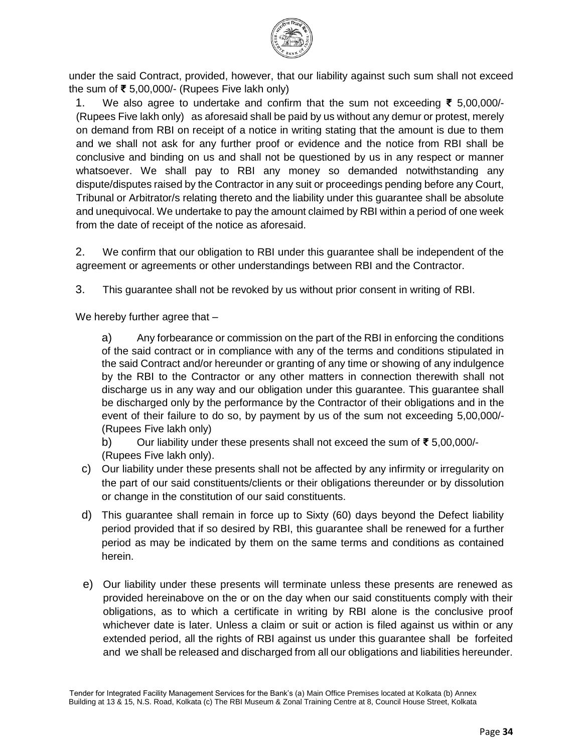

under the said Contract, provided, however, that our liability against such sum shall not exceed the sum of **₹** 5,00,000/- (Rupees Five lakh only)

1. We also agree to undertake and confirm that the sum not exceeding **₹** 5,00,000/- (Rupees Five lakh only) as aforesaid shall be paid by us without any demur or protest, merely on demand from RBI on receipt of a notice in writing stating that the amount is due to them and we shall not ask for any further proof or evidence and the notice from RBI shall be conclusive and binding on us and shall not be questioned by us in any respect or manner whatsoever. We shall pay to RBI any money so demanded notwithstanding any dispute/disputes raised by the Contractor in any suit or proceedings pending before any Court, Tribunal or Arbitrator/s relating thereto and the liability under this guarantee shall be absolute and unequivocal. We undertake to pay the amount claimed by RBI within a period of one week from the date of receipt of the notice as aforesaid.

2. We confirm that our obligation to RBI under this guarantee shall be independent of the agreement or agreements or other understandings between RBI and the Contractor.

3. This guarantee shall not be revoked by us without prior consent in writing of RBI.

We hereby further agree that  $-$ 

a) Any forbearance or commission on the part of the RBI in enforcing the conditions of the said contract or in compliance with any of the terms and conditions stipulated in the said Contract and/or hereunder or granting of any time or showing of any indulgence by the RBI to the Contractor or any other matters in connection therewith shall not discharge us in any way and our obligation under this guarantee. This guarantee shall be discharged only by the performance by the Contractor of their obligations and in the event of their failure to do so, by payment by us of the sum not exceeding 5,00,000/- (Rupees Five lakh only)

b) Our liability under these presents shall not exceed the sum of **₹** 5,00,000/- (Rupees Five lakh only).

- c) Our liability under these presents shall not be affected by any infirmity or irregularity on the part of our said constituents/clients or their obligations thereunder or by dissolution or change in the constitution of our said constituents.
- d) This guarantee shall remain in force up to Sixty (60) days beyond the Defect liability period provided that if so desired by RBI, this guarantee shall be renewed for a further period as may be indicated by them on the same terms and conditions as contained herein.
- e) Our liability under these presents will terminate unless these presents are renewed as provided hereinabove on the or on the day when our said constituents comply with their obligations, as to which a certificate in writing by RBI alone is the conclusive proof whichever date is later. Unless a claim or suit or action is filed against us within or any extended period, all the rights of RBI against us under this guarantee shall be forfeited and we shall be released and discharged from all our obligations and liabilities hereunder.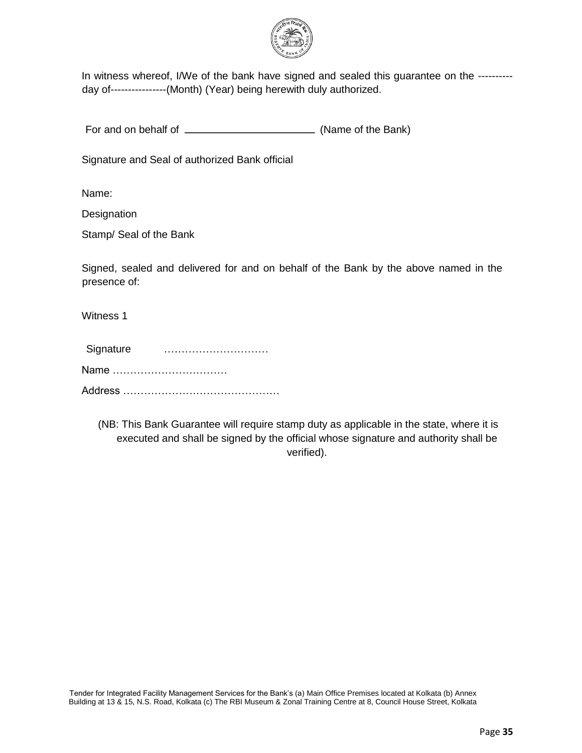

In witness whereof, I/We of the bank have signed and sealed this guarantee on the ---------day of----------------(Month) (Year) being herewith duly authorized.

For and on behalf of (Name of the Bank)

Signature and Seal of authorized Bank official

Name:

**Designation** 

Stamp/ Seal of the Bank

Signed, sealed and delivered for and on behalf of the Bank by the above named in the presence of:

Witness 1

| Signature |  |  |
|-----------|--|--|
| Name      |  |  |
|           |  |  |

(NB: This Bank Guarantee will require stamp duty as applicable in the state, where it is executed and shall be signed by the official whose signature and authority shall be verified).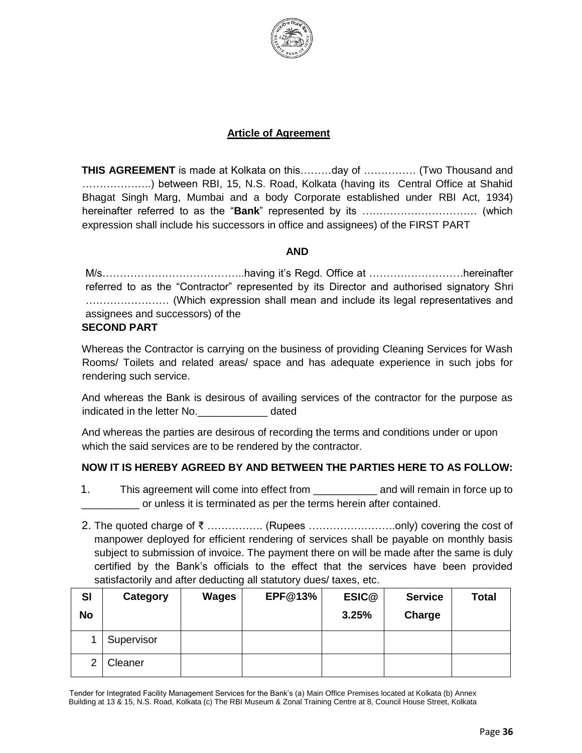

#### **Article of Agreement**

**THIS AGREEMENT** is made at Kolkata on this………day of …………… (Two Thousand and ………………..) between RBI, 15, N.S. Road, Kolkata (having its Central Office at Shahid Bhagat Singh Marg, Mumbai and a body Corporate established under RBI Act, 1934) hereinafter referred to as the "**Bank**" represented by its …………………………… (which expression shall include his successors in office and assignees) of the FIRST PART

#### **AND**

M/s…………………………………..having it's Regd. Office at ………………………hereinafter referred to as the "Contractor" represented by its Director and authorised signatory Shri …………………… (Which expression shall mean and include its legal representatives and assignees and successors) of the

#### **SECOND PART**

Whereas the Contractor is carrying on the business of providing Cleaning Services for Wash Rooms/ Toilets and related areas/ space and has adequate experience in such jobs for rendering such service.

And whereas the Bank is desirous of availing services of the contractor for the purpose as indicated in the letter No. The stated and a dated

And whereas the parties are desirous of recording the terms and conditions under or upon which the said services are to be rendered by the contractor.

### **NOW IT IS HEREBY AGREED BY AND BETWEEN THE PARTIES HERE TO AS FOLLOW:**

- 1. This agreement will come into effect from \_\_\_\_\_\_\_\_\_\_\_ and will remain in force up to or unless it is terminated as per the terms herein after contained.
- 2. The quoted charge of ₹ ……………. (Rupees …………………….only) covering the cost of manpower deployed for efficient rendering of services shall be payable on monthly basis subject to submission of invoice. The payment there on will be made after the same is duly certified by the Bank's officials to the effect that the services have been provided satisfactorily and after deducting all statutory dues/ taxes, etc.

| <b>SI</b> | Category   | <b>Wages</b> | <b>EPF@13%</b> | ESIC@ | <b>Service</b> | <b>Total</b> |
|-----------|------------|--------------|----------------|-------|----------------|--------------|
| <b>No</b> |            |              |                | 3.25% | Charge         |              |
|           | Supervisor |              |                |       |                |              |
| 2         | Cleaner    |              |                |       |                |              |

Tender for Integrated Facility Management Services for the Bank's (a) Main Office Premises located at Kolkata (b) Annex Building at 13 & 15, N.S. Road, Kolkata (c) The RBI Museum & Zonal Training Centre at 8, Council House Street, Kolkata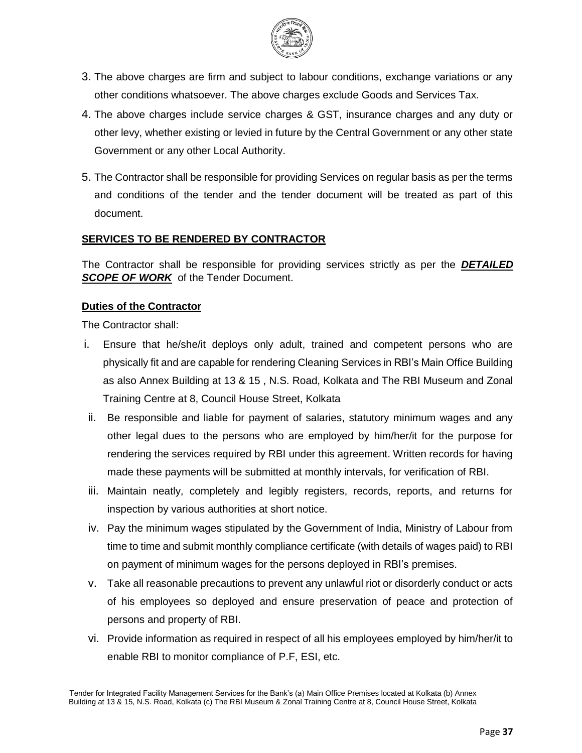

- 3. The above charges are firm and subject to labour conditions, exchange variations or any other conditions whatsoever. The above charges exclude Goods and Services Tax.
- 4. The above charges include service charges & GST, insurance charges and any duty or other levy, whether existing or levied in future by the Central Government or any other state Government or any other Local Authority.
- 5. The Contractor shall be responsible for providing Services on regular basis as per the terms and conditions of the tender and the tender document will be treated as part of this document.

## **SERVICES TO BE RENDERED BY CONTRACTOR**

The Contractor shall be responsible for providing services strictly as per the *DETAILED*  **SCOPE OF WORK** of the Tender Document.

### **Duties of the Contractor**

The Contractor shall:

- i. Ensure that he/she/it deploys only adult, trained and competent persons who are physically fit and are capable for rendering Cleaning Services in RBI's Main Office Building as also Annex Building at 13 & 15 , N.S. Road, Kolkata and The RBI Museum and Zonal Training Centre at 8, Council House Street, Kolkata
- ii. Be responsible and liable for payment of salaries, statutory minimum wages and any other legal dues to the persons who are employed by him/her/it for the purpose for rendering the services required by RBI under this agreement. Written records for having made these payments will be submitted at monthly intervals, for verification of RBI.
- iii. Maintain neatly, completely and legibly registers, records, reports, and returns for inspection by various authorities at short notice.
- iv. Pay the minimum wages stipulated by the Government of India, Ministry of Labour from time to time and submit monthly compliance certificate (with details of wages paid) to RBI on payment of minimum wages for the persons deployed in RBI's premises.
- v. Take all reasonable precautions to prevent any unlawful riot or disorderly conduct or acts of his employees so deployed and ensure preservation of peace and protection of persons and property of RBI.
- vi. Provide information as required in respect of all his employees employed by him/her/it to enable RBI to monitor compliance of P.F, ESI, etc.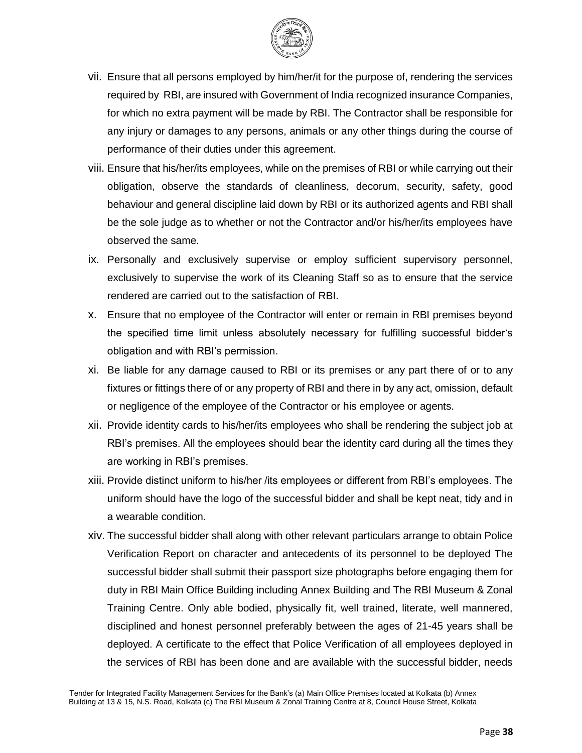

- vii. Ensure that all persons employed by him/her/it for the purpose of, rendering the services required by RBI, are insured with Government of India recognized insurance Companies, for which no extra payment will be made by RBI. The Contractor shall be responsible for any injury or damages to any persons, animals or any other things during the course of performance of their duties under this agreement.
- viii. Ensure that his/her/its employees, while on the premises of RBI or while carrying out their obligation, observe the standards of cleanliness, decorum, security, safety, good behaviour and general discipline laid down by RBI or its authorized agents and RBI shall be the sole judge as to whether or not the Contractor and/or his/her/its employees have observed the same.
- ix. Personally and exclusively supervise or employ sufficient supervisory personnel, exclusively to supervise the work of its Cleaning Staff so as to ensure that the service rendered are carried out to the satisfaction of RBI.
- x. Ensure that no employee of the Contractor will enter or remain in RBI premises beyond the specified time limit unless absolutely necessary for fulfilling successful bidder's obligation and with RBI's permission.
- xi. Be liable for any damage caused to RBI or its premises or any part there of or to any fixtures or fittings there of or any property of RBI and there in by any act, omission, default or negligence of the employee of the Contractor or his employee or agents.
- xii. Provide identity cards to his/her/its employees who shall be rendering the subject job at RBI's premises. All the employees should bear the identity card during all the times they are working in RBI's premises.
- xiii. Provide distinct uniform to his/her /its employees or different from RBI's employees. The uniform should have the logo of the successful bidder and shall be kept neat, tidy and in a wearable condition.
- xiv. The successful bidder shall along with other relevant particulars arrange to obtain Police Verification Report on character and antecedents of its personnel to be deployed The successful bidder shall submit their passport size photographs before engaging them for duty in RBI Main Office Building including Annex Building and The RBI Museum & Zonal Training Centre. Only able bodied, physically fit, well trained, literate, well mannered, disciplined and honest personnel preferably between the ages of 21-45 years shall be deployed. A certificate to the effect that Police Verification of all employees deployed in the services of RBI has been done and are available with the successful bidder, needs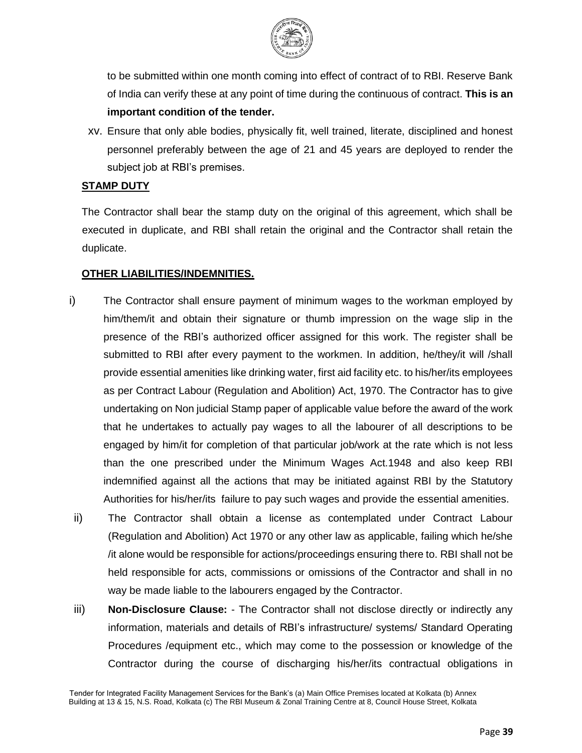

to be submitted within one month coming into effect of contract of to RBI. Reserve Bank of India can verify these at any point of time during the continuous of contract. **This is an important condition of the tender.**

xv. Ensure that only able bodies, physically fit, well trained, literate, disciplined and honest personnel preferably between the age of 21 and 45 years are deployed to render the subject job at RBI's premises.

#### **STAMP DUTY**

The Contractor shall bear the stamp duty on the original of this agreement, which shall be executed in duplicate, and RBI shall retain the original and the Contractor shall retain the duplicate.

#### **OTHER LIABILITIES/INDEMNITIES.**

- i) The Contractor shall ensure payment of minimum wages to the workman employed by him/them/it and obtain their signature or thumb impression on the wage slip in the presence of the RBI's authorized officer assigned for this work. The register shall be submitted to RBI after every payment to the workmen. In addition, he/they/it will /shall provide essential amenities like drinking water, first aid facility etc. to his/her/its employees as per Contract Labour (Regulation and Abolition) Act, 1970. The Contractor has to give undertaking on Non judicial Stamp paper of applicable value before the award of the work that he undertakes to actually pay wages to all the labourer of all descriptions to be engaged by him/it for completion of that particular job/work at the rate which is not less than the one prescribed under the Minimum Wages Act.1948 and also keep RBI indemnified against all the actions that may be initiated against RBI by the Statutory Authorities for his/her/its failure to pay such wages and provide the essential amenities.
- ii) The Contractor shall obtain a license as contemplated under Contract Labour (Regulation and Abolition) Act 1970 or any other law as applicable, failing which he/she /it alone would be responsible for actions/proceedings ensuring there to. RBI shall not be held responsible for acts, commissions or omissions of the Contractor and shall in no way be made liable to the labourers engaged by the Contractor.
- iii) **Non-Disclosure Clause:** The Contractor shall not disclose directly or indirectly any information, materials and details of RBI's infrastructure/ systems/ Standard Operating Procedures /equipment etc., which may come to the possession or knowledge of the Contractor during the course of discharging his/her/its contractual obligations in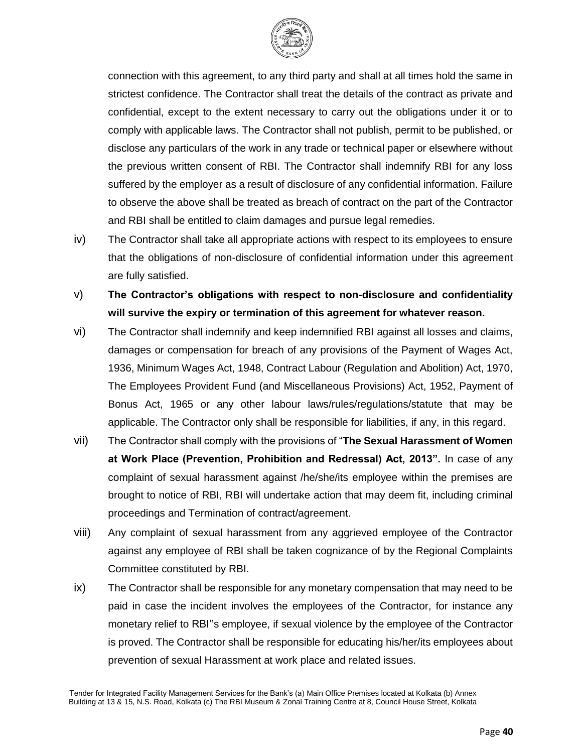

connection with this agreement, to any third party and shall at all times hold the same in strictest confidence. The Contractor shall treat the details of the contract as private and confidential, except to the extent necessary to carry out the obligations under it or to comply with applicable laws. The Contractor shall not publish, permit to be published, or disclose any particulars of the work in any trade or technical paper or elsewhere without the previous written consent of RBI. The Contractor shall indemnify RBI for any loss suffered by the employer as a result of disclosure of any confidential information. Failure to observe the above shall be treated as breach of contract on the part of the Contractor and RBI shall be entitled to claim damages and pursue legal remedies.

- iv) The Contractor shall take all appropriate actions with respect to its employees to ensure that the obligations of non-disclosure of confidential information under this agreement are fully satisfied.
- v) **The Contractor's obligations with respect to non-disclosure and confidentiality will survive the expiry or termination of this agreement for whatever reason.**
- vi) The Contractor shall indemnify and keep indemnified RBI against all losses and claims, damages or compensation for breach of any provisions of the Payment of Wages Act, 1936, Minimum Wages Act, 1948, Contract Labour (Regulation and Abolition) Act, 1970, The Employees Provident Fund (and Miscellaneous Provisions) Act, 1952, Payment of Bonus Act, 1965 or any other labour laws/rules/regulations/statute that may be applicable. The Contractor only shall be responsible for liabilities, if any, in this regard.
- vii) The Contractor shall comply with the provisions of "**The Sexual Harassment of Women at Work Place (Prevention, Prohibition and Redressal) Act, 2013".** In case of any complaint of sexual harassment against /he/she/its employee within the premises are brought to notice of RBI, RBI will undertake action that may deem fit, including criminal proceedings and Termination of contract/agreement.
- viii) Any complaint of sexual harassment from any aggrieved employee of the Contractor against any employee of RBI shall be taken cognizance of by the Regional Complaints Committee constituted by RBI.
- ix) The Contractor shall be responsible for any monetary compensation that may need to be paid in case the incident involves the employees of the Contractor, for instance any monetary relief to RBI''s employee, if sexual violence by the employee of the Contractor is proved. The Contractor shall be responsible for educating his/her/its employees about prevention of sexual Harassment at work place and related issues.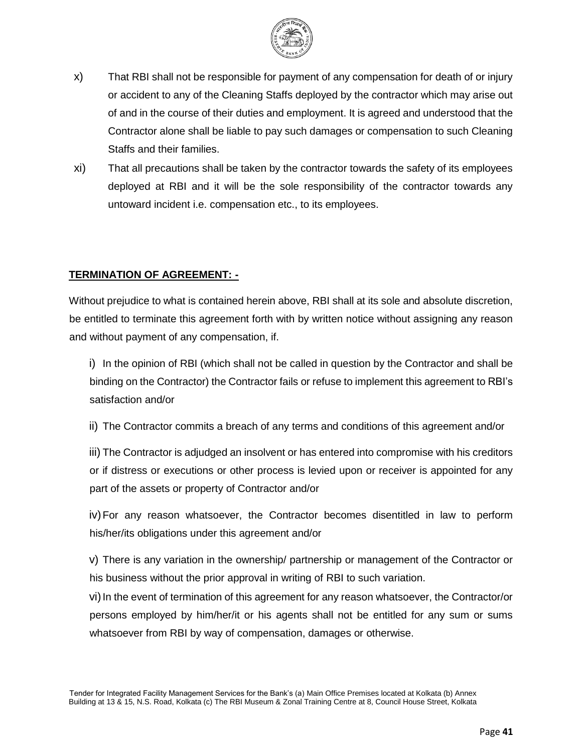

- x) That RBI shall not be responsible for payment of any compensation for death of or injury or accident to any of the Cleaning Staffs deployed by the contractor which may arise out of and in the course of their duties and employment. It is agreed and understood that the Contractor alone shall be liable to pay such damages or compensation to such Cleaning Staffs and their families.
- xi) That all precautions shall be taken by the contractor towards the safety of its employees deployed at RBI and it will be the sole responsibility of the contractor towards any untoward incident i.e. compensation etc., to its employees.

## **TERMINATION OF AGREEMENT: -**

Without prejudice to what is contained herein above, RBI shall at its sole and absolute discretion, be entitled to terminate this agreement forth with by written notice without assigning any reason and without payment of any compensation, if.

i) In the opinion of RBI (which shall not be called in question by the Contractor and shall be binding on the Contractor) the Contractor fails or refuse to implement this agreement to RBI's satisfaction and/or

ii) The Contractor commits a breach of any terms and conditions of this agreement and/or

iii) The Contractor is adjudged an insolvent or has entered into compromise with his creditors or if distress or executions or other process is levied upon or receiver is appointed for any part of the assets or property of Contractor and/or

iv)For any reason whatsoever, the Contractor becomes disentitled in law to perform his/her/its obligations under this agreement and/or

v) There is any variation in the ownership/ partnership or management of the Contractor or his business without the prior approval in writing of RBI to such variation.

vi) In the event of termination of this agreement for any reason whatsoever, the Contractor/or persons employed by him/her/it or his agents shall not be entitled for any sum or sums whatsoever from RBI by way of compensation, damages or otherwise.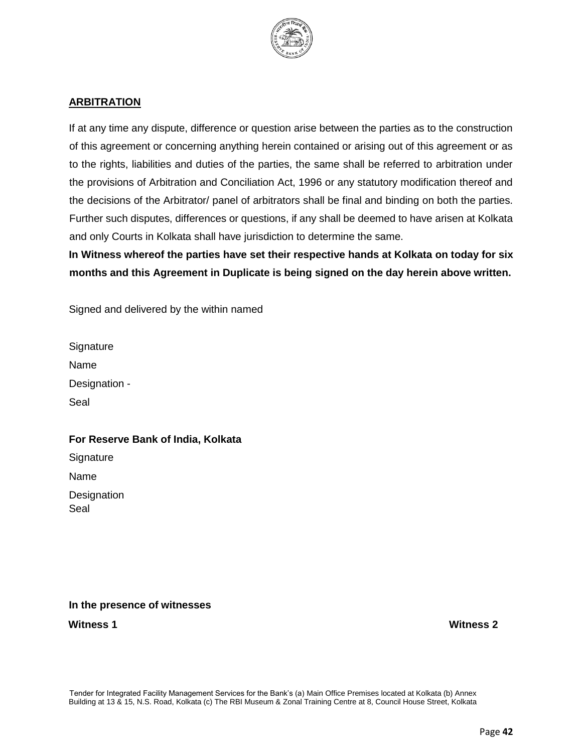

## **ARBITRATION**

If at any time any dispute, difference or question arise between the parties as to the construction of this agreement or concerning anything herein contained or arising out of this agreement or as to the rights, liabilities and duties of the parties, the same shall be referred to arbitration under the provisions of Arbitration and Conciliation Act, 1996 or any statutory modification thereof and the decisions of the Arbitrator/ panel of arbitrators shall be final and binding on both the parties. Further such disputes, differences or questions, if any shall be deemed to have arisen at Kolkata and only Courts in Kolkata shall have jurisdiction to determine the same.

**In Witness whereof the parties have set their respective hands at Kolkata on today for six months and this Agreement in Duplicate is being signed on the day herein above written.** 

Signed and delivered by the within named

**Signature** Name Designation - Seal

### **For Reserve Bank of India, Kolkata**

**Signature** Name **Designation** Seal

### **In the presence of witnesses**

**Witness 1 Witness 2**